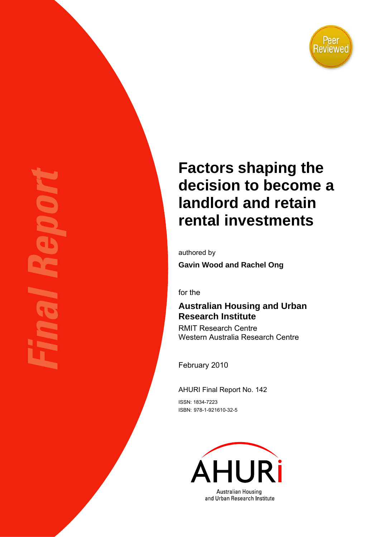

# **Factors shaping the decision to become a landlord and retain rental investments**

authored by **Gavin Wood and Rachel Ong** 

for the

### **Australian Housing and Urban Research Institute**

RMIT Research Centre Western Australia Research Centre

February 2010

AHURI Final Report No. 142

ISSN: 1834-7223 ISBN: 978-1-921610-32-5

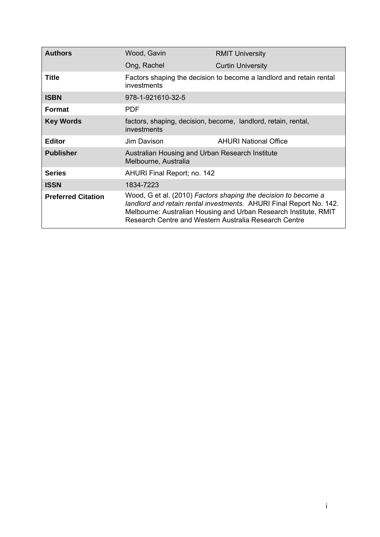| <b>Authors</b>            | Wood, Gavin                                                                                                                                                                                                                                                        | <b>RMIT University</b>                                        |  |  |  |
|---------------------------|--------------------------------------------------------------------------------------------------------------------------------------------------------------------------------------------------------------------------------------------------------------------|---------------------------------------------------------------|--|--|--|
|                           | Ong, Rachel                                                                                                                                                                                                                                                        | <b>Curtin University</b>                                      |  |  |  |
| <b>Title</b>              | Factors shaping the decision to become a landlord and retain rental<br>investments                                                                                                                                                                                 |                                                               |  |  |  |
| <b>ISBN</b>               | 978-1-921610-32-5                                                                                                                                                                                                                                                  |                                                               |  |  |  |
| <b>Format</b>             | <b>PDF</b>                                                                                                                                                                                                                                                         |                                                               |  |  |  |
| <b>Key Words</b>          | <i>investments</i>                                                                                                                                                                                                                                                 | factors, shaping, decision, become, landlord, retain, rental, |  |  |  |
| <b>Editor</b>             | Jim Davison                                                                                                                                                                                                                                                        | <b>AHURI National Office</b>                                  |  |  |  |
| <b>Publisher</b>          | Australian Housing and Urban Research Institute<br>Melbourne, Australia                                                                                                                                                                                            |                                                               |  |  |  |
| <b>Series</b>             | AHURI Final Report; no. 142                                                                                                                                                                                                                                        |                                                               |  |  |  |
| <b>ISSN</b>               | 1834-7223                                                                                                                                                                                                                                                          |                                                               |  |  |  |
| <b>Preferred Citation</b> | Wood, G et al. (2010) Factors shaping the decision to become a<br>landlord and retain rental investments. AHURI Final Report No. 142.<br>Melbourne: Australian Housing and Urban Research Institute, RMIT<br>Research Centre and Western Australia Research Centre |                                                               |  |  |  |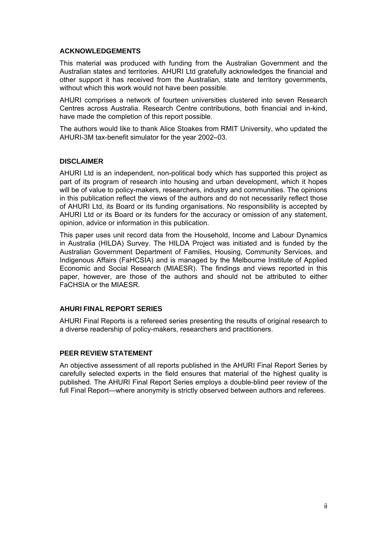#### **ACKNOWLEDGEMENTS**

This material was produced with funding from the Australian Government and the Australian states and territories. AHURI Ltd gratefully acknowledges the financial and other support it has received from the Australian, state and territory governments, without which this work would not have been possible.

AHURI comprises a network of fourteen universities clustered into seven Research Centres across Australia. Research Centre contributions, both financial and in-kind, have made the completion of this report possible.

The authors would like to thank Alice Stoakes from RMIT University, who updated the AHURI-3M tax-benefit simulator for the year 2002–03.

#### **DISCLAIMER**

AHURI Ltd is an independent, non-political body which has supported this project as part of its program of research into housing and urban development, which it hopes will be of value to policy-makers, researchers, industry and communities. The opinions in this publication reflect the views of the authors and do not necessarily reflect those of AHURI Ltd, its Board or its funding organisations. No responsibility is accepted by AHURI Ltd or its Board or its funders for the accuracy or omission of any statement, opinion, advice or information in this publication.

This paper uses unit record data from the Household, Income and Labour Dynamics in Australia (HILDA) Survey. The HILDA Project was initiated and is funded by the Australian Government Department of Families, Housing, Community Services, and Indigenous Affairs (FaHCSIA) and is managed by the Melbourne Institute of Applied Economic and Social Research (MIAESR). The findings and views reported in this paper, however, are those of the authors and should not be attributed to either FaCHSIA or the MIAESR.

#### **AHURI FINAL REPORT SERIES**

AHURI Final Reports is a refereed series presenting the results of original research to a diverse readership of policy-makers, researchers and practitioners.

#### **PEER REVIEW STATEMENT**

An objective assessment of all reports published in the AHURI Final Report Series by carefully selected experts in the field ensures that material of the highest quality is published. The AHURI Final Report Series employs a double-blind peer review of the full Final Report—where anonymity is strictly observed between authors and referees.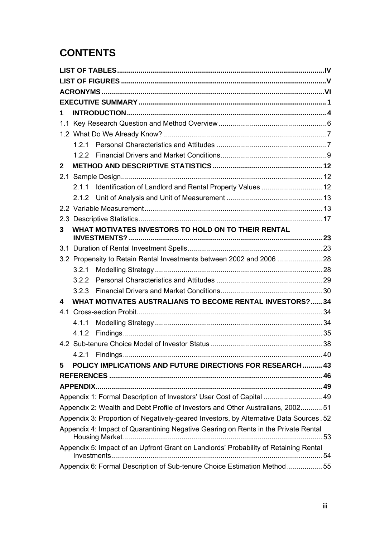## **CONTENTS**

| 1. |       |                                                                                        |  |
|----|-------|----------------------------------------------------------------------------------------|--|
|    |       |                                                                                        |  |
|    |       |                                                                                        |  |
|    |       |                                                                                        |  |
|    |       |                                                                                        |  |
| 2  |       |                                                                                        |  |
|    |       |                                                                                        |  |
|    | 2.1.1 | Identification of Landlord and Rental Property Values  12                              |  |
|    | 2.1.2 |                                                                                        |  |
|    |       |                                                                                        |  |
|    |       |                                                                                        |  |
| 3  |       | WHAT MOTIVATES INVESTORS TO HOLD ON TO THEIR RENTAL                                    |  |
|    |       |                                                                                        |  |
|    |       |                                                                                        |  |
|    |       | 3.2 Propensity to Retain Rental Investments between 2002 and 2006  28                  |  |
|    | 3.2.1 |                                                                                        |  |
|    | 3.2.2 |                                                                                        |  |
|    | 3.2.3 |                                                                                        |  |
| 4  |       | WHAT MOTIVATES AUSTRALIANS TO BECOME RENTAL INVESTORS? 34                              |  |
|    |       |                                                                                        |  |
|    | 4.1.1 |                                                                                        |  |
|    | 4.1.2 |                                                                                        |  |
|    |       |                                                                                        |  |
|    |       |                                                                                        |  |
| 5  |       | <b>POLICY IMPLICATIONS AND FUTURE DIRECTIONS FOR RESEARCH 43</b>                       |  |
|    |       |                                                                                        |  |
|    |       |                                                                                        |  |
|    |       | Appendix 1: Formal Description of Investors' User Cost of Capital  49                  |  |
|    |       | Appendix 2: Wealth and Debt Profile of Investors and Other Australians, 2002 51        |  |
|    |       | Appendix 3: Proportion of Negatively-geared Investors, by Alternative Data Sources. 52 |  |
|    |       | Appendix 4: Impact of Quarantining Negative Gearing on Rents in the Private Rental     |  |
|    |       | Appendix 5: Impact of an Upfront Grant on Landlords' Probability of Retaining Rental   |  |
|    |       | Appendix 6: Formal Description of Sub-tenure Choice Estimation Method  55              |  |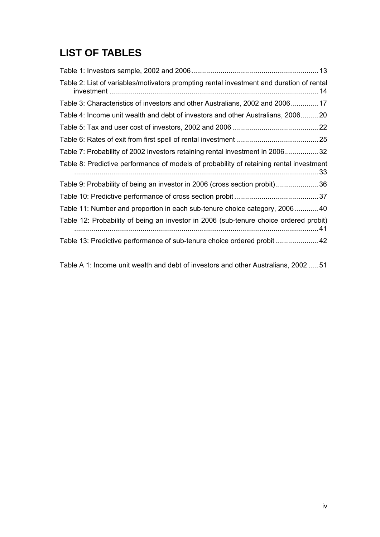## <span id="page-4-0"></span>**LIST OF TABLES**

| Table 2: List of variables/motivators prompting rental investment and duration of rental       |  |
|------------------------------------------------------------------------------------------------|--|
| Table 3: Characteristics of investors and other Australians, 2002 and 2006 17                  |  |
| Table 4: Income unit wealth and debt of investors and other Australians, 2006 20               |  |
|                                                                                                |  |
|                                                                                                |  |
| Table 7: Probability of 2002 investors retaining rental investment in 200632                   |  |
|                                                                                                |  |
| Table 8: Predictive performance of models of probability of retaining rental investment<br>.33 |  |
| Table 9: Probability of being an investor in 2006 (cross section probit)36                     |  |
|                                                                                                |  |
| Table 11: Number and proportion in each sub-tenure choice category, 2006 40                    |  |
| Table 12: Probability of being an investor in 2006 (sub-tenure choice ordered probit)          |  |

[Table A 1: Income unit wealth and debt of investors and other Australians, 2002 ..... 51](#page-57-0)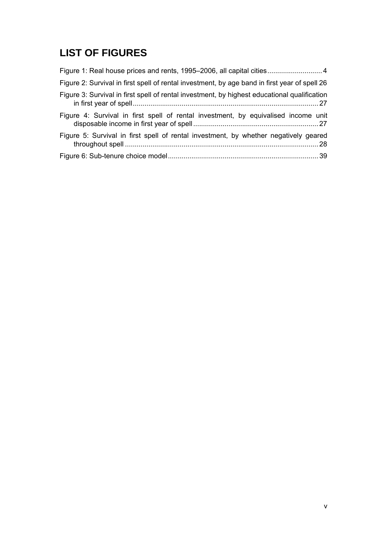## <span id="page-5-0"></span>**LIST OF FIGURES**

| Figure 1: Real house prices and rents, 1995–2006, all capital cities 4                        |
|-----------------------------------------------------------------------------------------------|
| Figure 2: Survival in first spell of rental investment, by age band in first year of spell 26 |
| Figure 3: Survival in first spell of rental investment, by highest educational qualification  |
| Figure 4: Survival in first spell of rental investment, by equivalised income unit            |
| Figure 5: Survival in first spell of rental investment, by whether negatively geared          |
|                                                                                               |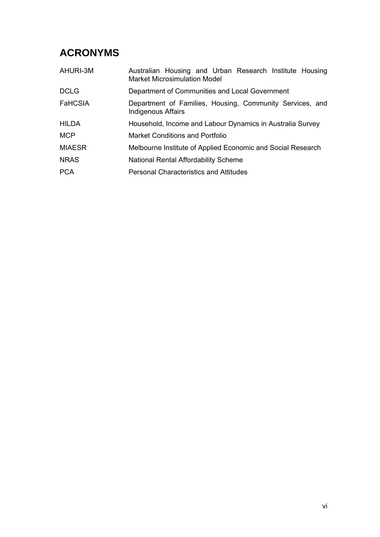## <span id="page-6-0"></span>**ACRONYMS**

| AHURI-3M       | Australian Housing and Urban Research Institute Housing<br><b>Market Microsimulation Model</b> |  |  |  |  |  |
|----------------|------------------------------------------------------------------------------------------------|--|--|--|--|--|
| <b>DCLG</b>    | Department of Communities and Local Government                                                 |  |  |  |  |  |
| <b>FaHCSIA</b> | Department of Families, Housing, Community Services, and<br><b>Indigenous Affairs</b>          |  |  |  |  |  |
| <b>HILDA</b>   | Household, Income and Labour Dynamics in Australia Survey                                      |  |  |  |  |  |
| <b>MCP</b>     | <b>Market Conditions and Portfolio</b>                                                         |  |  |  |  |  |
| <b>MIAESR</b>  | Melbourne Institute of Applied Economic and Social Research                                    |  |  |  |  |  |
| <b>NRAS</b>    | National Rental Affordability Scheme                                                           |  |  |  |  |  |
| <b>PCA</b>     | <b>Personal Characteristics and Attitudes</b>                                                  |  |  |  |  |  |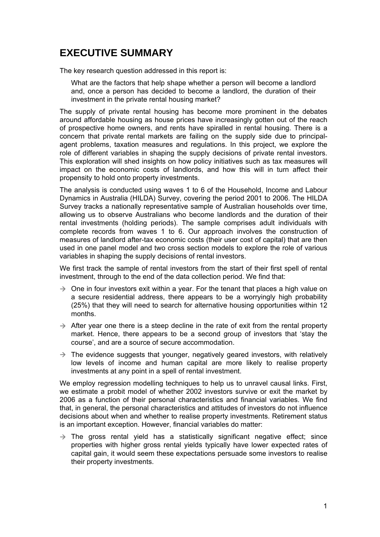## <span id="page-7-0"></span>**EXECUTIVE SUMMARY**

The key research question addressed in this report is:

What are the factors that help shape whether a person will become a landlord and, once a person has decided to become a landlord, the duration of their investment in the private rental housing market?

The supply of private rental housing has become more prominent in the debates around affordable housing as house prices have increasingly gotten out of the reach of prospective home owners, and rents have spiralled in rental housing. There is a concern that private rental markets are failing on the supply side due to principalagent problems, taxation measures and regulations. In this project, we explore the role of different variables in shaping the supply decisions of private rental investors. This exploration will shed insights on how policy initiatives such as tax measures will impact on the economic costs of landlords, and how this will in turn affect their propensity to hold onto property investments.

The analysis is conducted using waves 1 to 6 of the Household, Income and Labour Dynamics in Australia (HILDA) Survey, covering the period 2001 to 2006. The HILDA Survey tracks a nationally representative sample of Australian households over time, allowing us to observe Australians who become landlords and the duration of their rental investments (holding periods). The sample comprises adult individuals with complete records from waves 1 to 6. Our approach involves the construction of measures of landlord after-tax economic costs (their user cost of capital) that are then used in one panel model and two cross section models to explore the role of various variables in shaping the supply decisions of rental investors.

We first track the sample of rental investors from the start of their first spell of rental investment, through to the end of the data collection period. We find that:

- $\rightarrow$  One in four investors exit within a year. For the tenant that places a high value on a secure residential address, there appears to be a worryingly high probability (25%) that they will need to search for alternative housing opportunities within 12 months.
- $\rightarrow$  After year one there is a steep decline in the rate of exit from the rental property market. Hence, there appears to be a second group of investors that 'stay the course', and are a source of secure accommodation.
- $\rightarrow$  The evidence suggests that younger, negatively geared investors, with relatively low levels of income and human capital are more likely to realise property investments at any point in a spell of rental investment.

We employ regression modelling techniques to help us to unravel causal links. First, we estimate a probit model of whether 2002 investors survive or exit the market by 2006 as a function of their personal characteristics and financial variables. We find that, in general, the personal characteristics and attitudes of investors do not influence decisions about when and whether to realise property investments. Retirement status is an important exception. However, financial variables do matter:

 $\rightarrow$  The gross rental yield has a statistically significant negative effect; since properties with higher gross rental yields typically have lower expected rates of capital gain, it would seem these expectations persuade some investors to realise their property investments.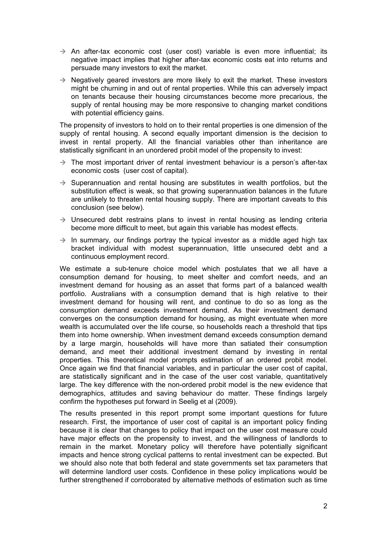- $\rightarrow$  An after-tax economic cost (user cost) variable is even more influential; its negative impact implies that higher after-tax economic costs eat into returns and persuade many investors to exit the market.
- $\rightarrow$  Negatively geared investors are more likely to exit the market. These investors might be churning in and out of rental properties. While this can adversely impact on tenants because their housing circumstances become more precarious, the supply of rental housing may be more responsive to changing market conditions with potential efficiency gains.

The propensity of investors to hold on to their rental properties is one dimension of the supply of rental housing. A second equally important dimension is the decision to invest in rental property. All the financial variables other than inheritance are statistically significant in an unordered probit model of the propensity to invest:

- $\rightarrow$  The most important driver of rental investment behaviour is a person's after-tax economic costs (user cost of capital).
- $\rightarrow$  Superannuation and rental housing are substitutes in wealth portfolios, but the substitution effect is weak, so that growing superannuation balances in the future are unlikely to threaten rental housing supply. There are important caveats to this conclusion (see below).
- $\rightarrow$  Unsecured debt restrains plans to invest in rental housing as lending criteria become more difficult to meet, but again this variable has modest effects.
- $\rightarrow$  In summary, our findings portray the typical investor as a middle aged high tax bracket individual with modest superannuation, little unsecured debt and a continuous employment record.

We estimate a sub-tenure choice model which postulates that we all have a consumption demand for housing, to meet shelter and comfort needs, and an investment demand for housing as an asset that forms part of a balanced wealth portfolio. Australians with a consumption demand that is high relative to their investment demand for housing will rent, and continue to do so as long as the consumption demand exceeds investment demand. As their investment demand converges on the consumption demand for housing, as might eventuate when more wealth is accumulated over the life course, so households reach a threshold that tips them into home ownership. When investment demand exceeds consumption demand by a large margin, households will have more than satiated their consumption demand, and meet their additional investment demand by investing in rental properties. This theoretical model prompts estimation of an ordered probit model. Once again we find that financial variables, and in particular the user cost of capital, are statistically significant and in the case of the user cost variable, quantitatively large. The key difference with the non-ordered probit model is the new evidence that demographics, attitudes and saving behaviour do matter. These findings largely confirm the hypotheses put forward in Seelig et al (2009).

The results presented in this report prompt some important questions for future research. First, the importance of user cost of capital is an important policy finding because it is clear that changes to policy that impact on the user cost measure could have major effects on the propensity to invest, and the willingness of landlords to remain in the market. Monetary policy will therefore have potentially significant impacts and hence strong cyclical patterns to rental investment can be expected. But we should also note that both federal and state governments set tax parameters that will determine landlord user costs. Confidence in these policy implications would be further strengthened if corroborated by alternative methods of estimation such as time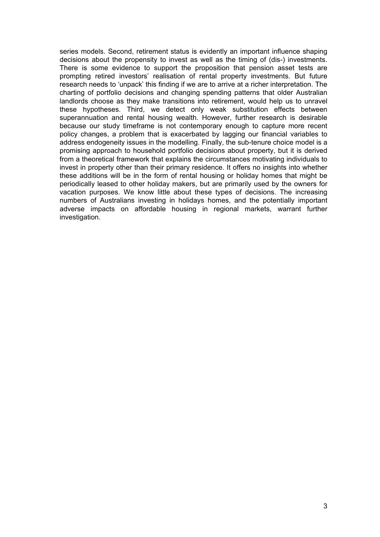series models. Second, retirement status is evidently an important influence shaping decisions about the propensity to invest as well as the timing of (dis-) investments. There is some evidence to support the proposition that pension asset tests are prompting retired investors' realisation of rental property investments. But future research needs to 'unpack' this finding if we are to arrive at a richer interpretation. The charting of portfolio decisions and changing spending patterns that older Australian landlords choose as they make transitions into retirement, would help us to unravel these hypotheses. Third, we detect only weak substitution effects between superannuation and rental housing wealth. However, further research is desirable because our study timeframe is not contemporary enough to capture more recent policy changes, a problem that is exacerbated by lagging our financial variables to address endogeneity issues in the modelling. Finally, the sub-tenure choice model is a promising approach to household portfolio decisions about property, but it is derived from a theoretical framework that explains the circumstances motivating individuals to invest in property other than their primary residence. It offers no insights into whether these additions will be in the form of rental housing or holiday homes that might be periodically leased to other holiday makers, but are primarily used by the owners for vacation purposes. We know little about these types of decisions. The increasing numbers of Australians investing in holidays homes, and the potentially important adverse impacts on affordable housing in regional markets, warrant further investigation.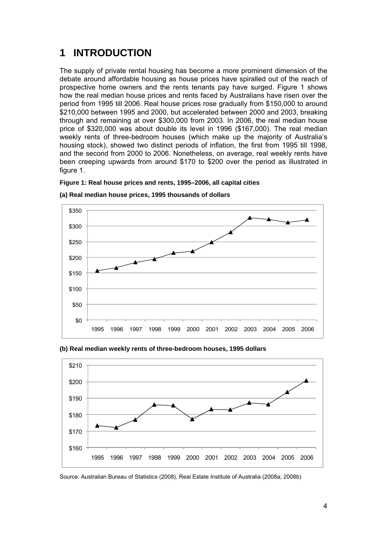## <span id="page-10-0"></span>**1 INTRODUCTION**

The supply of private rental housing has become a more prominent dimension of the debate around affordable housing as house prices have spiralled out of the reach of prospective home owners and the rents tenants pay have surged. Figure 1 shows how the real median house prices and rents faced by Australians have risen over the period from 1995 till 2006. Real house prices rose gradually from \$150,000 to around \$210,000 between 1995 and 2000, but accelerated between 2000 and 2003, breaking through and remaining at over \$300,000 from 2003. In 2006, the real median house price of \$320,000 was about double its level in 1996 (\$167,000). The real median weekly rents of three-bedroom houses (which make up the majority of Australia's housing stock), showed two distinct periods of inflation, the first from 1995 till 1998, and the second from 2000 to 2006. Nonetheless, on average, real weekly rents have been creeping upwards from around \$170 to \$200 over the period as illustrated in figure 1.

#### **Figure 1: Real house prices and rents, 1995–2006, all capital cities**



**(a) Real median house prices, 1995 thousands of dollars** 



**(b) Real median weekly rents of three-bedroom houses, 1995 dollars** 

Source: Australian Bureau of Statistics (2008), Real Estate Institute of Australia (2008a; 2008b)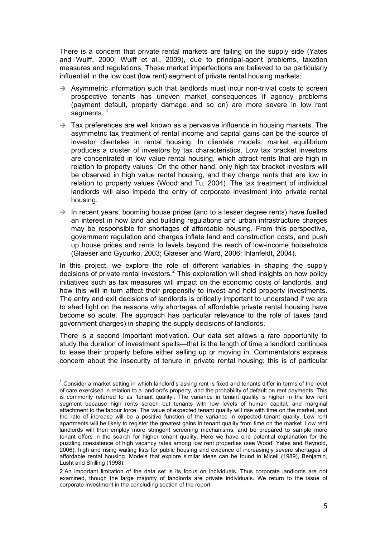<span id="page-11-0"></span>There is a concern that private rental markets are failing on the supply side (Yates and Wulff, 2000; Wulff et al., 2009), due to principal-agent problems, taxation measures and regulations. These market imperfections are believed to be particularly influential in the low cost (low rent) segment of private rental housing markets:

- $\rightarrow$  Asymmetric information such that landlords must incur non-trivial costs to screen prospective tenants has uneven market consequences if agency problems (payment default, property damage and so on) are more severe in low rent segments.  $1$
- $\rightarrow$  Tax preferences are well known as a pervasive influence in housing markets. The asymmetric tax treatment of rental income and capital gains can be the source of investor clienteles in rental housing. In clientele models, market equilibrium produces a cluster of investors by tax characteristics. Low tax bracket investors are concentrated in low value rental housing, which attract rents that are high in relation to property values. On the other hand, only high tax bracket investors will be observed in high value rental housing, and they charge rents that are low in relation to property values (Wood and Tu, 2004). The tax treatment of individual landlords will also impede the entry of corporate investment into private rental housing.
- $\rightarrow$  In recent years, booming house prices (and to a lesser degree rents) have fuelled an interest in how land and building regulations and urban infrastructure charges may be responsible for shortages of affordable housing. From this perspective, government regulation and charges inflate land and construction costs, and push up house prices and rents to levels beyond the reach of low-income households (Glaeser and Gyourko, 2003; Glaeser and Ward, 2006; Ihlanfeldt, 2004).

In this project, we explore the role of different variables in shaping the supply decisions of private rental investors.<sup>[2](#page-11-0)</sup> This exploration will shed insights on how policy initiatives such as tax measures will impact on the economic costs of landlords, and how this will in turn affect their propensity to invest and hold property investments. The entry and exit decisions of landlords is critically important to understand if we are to shed light on the reasons why shortages of affordable private rental housing have become so acute. The approach has particular relevance to the role of taxes (and government charges) in shaping the supply decisions of landlords.

There is a second important motivation. Our data set allows a rare opportunity to study the duration of investment spells—that is the length of time a landlord continues to lease their property before either selling up or moving in. Commentators express concern about the insecurity of tenure in private rental housing; this is of particular

  $1$  Consider a market setting in which landlord's asking rent is fixed and tenants differ in terms of the level of care exercised in relation to a landlord's property, and the probability of default on rent payments. This is commonly referred to as 'tenant quality'. The variance in tenant quality is higher in the low rent segment because high rents screen out tenants with low levels of human capital, and marginal attachment to the labour force. The value of expected tenant quality will rise with time on the market, and the rate of increase will be a positive function of the variance in expected tenant quality. Low rent apartments will be likely to register the greatest gains in tenant quality from time on the market. Low rent landlords will then employ more stringent screening mechanisms, and be prepared to sample more tenant offers in the search for higher tenant quality. Here we have one potential explanation for the puzzling coexistence of high vacancy rates among low rent properties (see Wood, Yates and Reynold, 2006), high and rising waiting lists for public housing and evidence of increasingly severe shortages of affordable rental housing. Models that explore similar ideas can be found in Miceli (1989), Benjamin, Lusht and Shilling (1998).

<sup>2</sup> An important limitation of the data set is its focus on individuals. Thus corporate landlords are not examined, though the large majority of landlords are private individuals. We return to the issue of corporate investment in the concluding section of the report.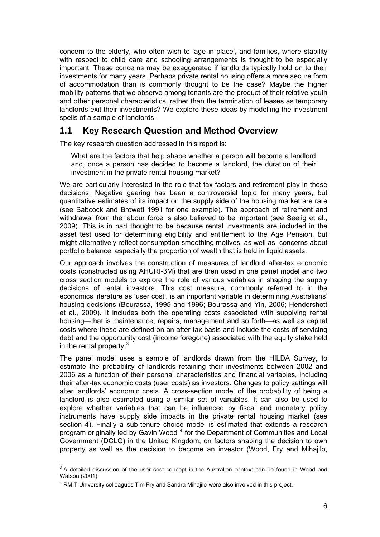<span id="page-12-0"></span>concern to the elderly, who often wish to 'age in place', and families, where stability with respect to child care and schooling arrangements is thought to be especially important. These concerns may be exaggerated if landlords typically hold on to their investments for many years. Perhaps private rental housing offers a more secure form of accommodation than is commonly thought to be the case? Maybe the higher mobility patterns that we observe among tenants are the product of their relative youth and other personal characteristics, rather than the termination of leases as temporary landlords exit their investments? We explore these ideas by modelling the investment spells of a sample of landlords.

### **1.1 Key Research Question and Method Overview**

The key research question addressed in this report is:

What are the factors that help shape whether a person will become a landlord and, once a person has decided to become a landlord, the duration of their investment in the private rental housing market?

We are particularly interested in the role that tax factors and retirement play in these decisions. Negative gearing has been a controversial topic for many years, but quantitative estimates of its impact on the supply side of the housing market are rare (see Babcock and Browett 1991 for one example). The approach of retirement and withdrawal from the labour force is also believed to be important (see Seelig et al., 2009). This is in part thought to be because rental investments are included in the asset test used for determining eligibility and entitlement to the Age Pension, but might alternatively reflect consumption smoothing motives, as well as concerns about portfolio balance, especially the proportion of wealth that is held in liquid assets.

Our approach involves the construction of measures of landlord after-tax economic costs (constructed using AHURI-3M) that are then used in one panel model and two cross section models to explore the role of various variables in shaping the supply decisions of rental investors. This cost measure, commonly referred to in the economics literature as 'user cost', is an important variable in determining Australians' housing decisions (Bourassa, 1995 and 1996; Bourassa and Yin, 2006; Hendershott et al., 2009). It includes both the operating costs associated with supplying rental housing—that is maintenance, repairs, management and so forth—as well as capital costs where these are defined on an after-tax basis and include the costs of servicing debt and the opportunity cost (income foregone) associated with the equity stake held in the rental property. $3$ 

The panel model uses a sample of landlords drawn from the HILDA Survey, to estimate the probability of landlords retaining their investments between 2002 and 2006 as a function of their personal characteristics and financial variables, including their after-tax economic costs (user costs) as investors. Changes to policy settings will alter landlords' economic costs. A cross-section model of the probability of being a landlord is also estimated using a similar set of variables. It can also be used to explore whether variables that can be influenced by fiscal and monetary policy instruments have supply side impacts in the private rental housing market (see section 4). Finally a sub-tenure choice model is estimated that extends a research program originally led by Gavin Wood<sup>[4](#page-12-0)</sup> for the Department of Communities and Local Government (DCLG) in the United Kingdom, on factors shaping the decision to own property as well as the decision to become an investor (Wood, Fry and Mihajilo,

**EXECUTE:**<br><sup>3</sup> A detailed discussion of the user cost concept in the Australian context can be found in Wood and Watson (2001).

<sup>&</sup>lt;sup>4</sup> RMIT University colleagues Tim Fry and Sandra Mihajilo were also involved in this project.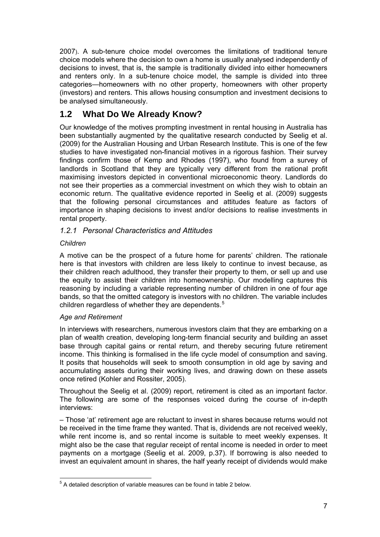<span id="page-13-0"></span>2007). A sub-tenure choice model overcomes the limitations of traditional tenure choice models where the decision to own a home is usually analysed independently of decisions to invest, that is, the sample is traditionally divided into either homeowners and renters only. In a sub-tenure choice model, the sample is divided into three categories—homeowners with no other property, homeowners with other property (investors) and renters. This allows housing consumption and investment decisions to be analysed simultaneously.

### **1.2 What Do We Already Know?**

Our knowledge of the motives prompting investment in rental housing in Australia has been substantially augmented by the qualitative research conducted by Seelig et al. (2009) for the Australian Housing and Urban Research Institute. This is one of the few studies to have investigated non-financial motives in a rigorous fashion. Their survey findings confirm those of Kemp and Rhodes (1997), who found from a survey of landlords in Scotland that they are typically very different from the rational profit maximising investors depicted in conventional microeconomic theory. Landlords do not see their properties as a commercial investment on which they wish to obtain an economic return. The qualitative evidence reported in Seelig et al. (2009) suggests that the following personal circumstances and attitudes feature as factors of importance in shaping decisions to invest and/or decisions to realise investments in rental property.

### *1.2.1 Personal Characteristics and Attitudes*

### *Children*

A motive can be the prospect of a future home for parents' children. The rationale here is that investors with children are less likely to continue to invest because, as their children reach adulthood, they transfer their property to them, or sell up and use the equity to assist their children into homeownership. Our modelling captures this reasoning by including a variable representing number of children in one of four age bands, so that the omitted category is investors with no children. The variable includes children regardless of whether they are dependents. $5$ 

### *Age and Retirement*

In interviews with researchers, numerous investors claim that they are embarking on a plan of wealth creation, developing long-term financial security and building an asset base through capital gains or rental return, and thereby securing future retirement income. This thinking is formalised in the life cycle model of consumption and saving. It posits that households will seek to smooth consumption in old age by saving and accumulating assets during their working lives, and drawing down on these assets once retired (Kohler and Rossiter, 2005).

Throughout the Seelig et al. (2009) report, retirement is cited as an important factor. The following are some of the responses voiced during the course of in-depth interviews:

– Those 'at' retirement age are reluctant to invest in shares because returns would not be received in the time frame they wanted. That is, dividends are not received weekly, while rent income is, and so rental income is suitable to meet weekly expenses. It might also be the case that regular receipt of rental income is needed in order to meet payments on a mortgage (Seelig et al. 2009, p.37). If borrowing is also needed to invest an equivalent amount in shares, the half yearly receipt of dividends would make

 5 A detailed description of variable measures can be found in table 2 below.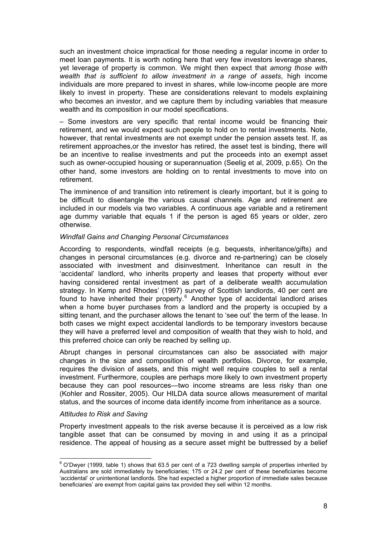<span id="page-14-0"></span>such an investment choice impractical for those needing a regular income in order to meet loan payments. It is worth noting here that very few investors leverage shares, yet leverage of property is common. We might then expect that *among those with wealth that is sufficient to allow investment in a range of assets*, high income individuals are more prepared to invest in shares, while low-income people are more likely to invest in property. These are considerations relevant to models explaining who becomes an investor, and we capture them by including variables that measure wealth and its composition in our model specifications.

– Some investors are very specific that rental income would be financing their retirement, and we would expect such people to hold on to rental investments. Note, however, that rental investments are not exempt under the pension assets test. If, as retirement approaches,or the investor has retired, the asset test is binding, there will be an incentive to realise investments and put the proceeds into an exempt asset such as owner-occupied housing or superannuation (Seelig et al, 2009, p.65). On the other hand, some investors are holding on to rental investments to move into on retirement.

The imminence of and transition into retirement is clearly important, but it is going to be difficult to disentangle the various causal channels. Age and retirement are included in our models via two variables. A continuous age variable and a retirement age dummy variable that equals 1 if the person is aged 65 years or older, zero otherwise.

#### *Windfall Gains and Changing Personal Circumstances*

According to respondents, windfall receipts (e.g. bequests, inheritance/gifts) and changes in personal circumstances (e.g. divorce and re-partnering) can be closely associated with investment and disinvestment. Inheritance can result in the 'accidental' landlord, who inherits property and leases that property without ever having considered rental investment as part of a deliberate wealth accumulation strategy. In Kemp and Rhodes' (1997) survey of Scottish landlords, 40 per cent are found to have inherited their property.<sup>[6](#page-14-0)</sup> Another type of accidental landlord arises when a home buyer purchases from a landlord and the property is occupied by a sitting tenant, and the purchaser allows the tenant to 'see out' the term of the lease. In both cases we might expect accidental landlords to be temporary investors because they will have a preferred level and composition of wealth that they wish to hold, and this preferred choice can only be reached by selling up.

Abrupt changes in personal circumstances can also be associated with major changes in the size and composition of wealth portfolios. Divorce, for example, requires the division of assets, and this might well require couples to sell a rental investment. Furthermore, couples are perhaps more likely to own investment property because they can pool resources—two income streams are less risky than one (Kohler and Rossiter, 2005). Our HILDA data source allows measurement of marital status, and the sources of income data identify income from inheritance as a source.

#### *Attitudes to Risk and Saving*

Property investment appeals to the risk averse because it is perceived as a low risk tangible asset that can be consumed by moving in and using it as a principal residence. The appeal of housing as a secure asset might be buttressed by a belief

 6 O'Dwyer (1999, table 1) shows that 63.5 per cent of a 723 dwelling sample of properties inherited by Australians are sold immediately by beneficiaries; 175 or 24.2 per cent of these beneficiaries become 'accidental' or unintentional landlords. She had expected a higher proportion of immediate sales because beneficiaries' are exempt from capital gains tax provided they sell within 12 months.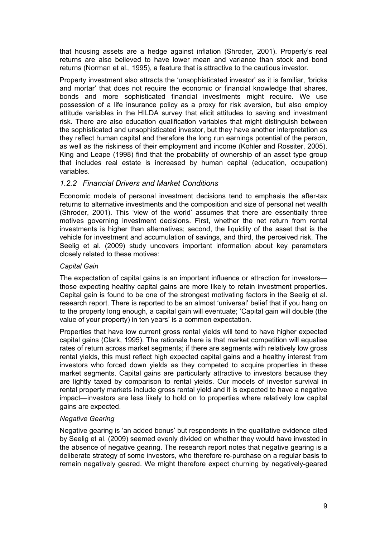<span id="page-15-0"></span>that housing assets are a hedge against inflation (Shroder, 2001). Property's real returns are also believed to have lower mean and variance than stock and bond returns (Norman et al., 1995), a feature that is attractive to the cautious investor.

Property investment also attracts the 'unsophisticated investor' as it is familiar, 'bricks and mortar' that does not require the economic or financial knowledge that shares, bonds and more sophisticated financial investments might require. We use possession of a life insurance policy as a proxy for risk aversion, but also employ attitude variables in the HILDA survey that elicit attitudes to saving and investment risk. There are also education qualification variables that might distinguish between the sophisticated and unsophisticated investor, but they have another interpretation as they reflect human capital and therefore the long run earnings potential of the person, as well as the riskiness of their employment and income (Kohler and Rossiter, 2005). King and Leape (1998) find that the probability of ownership of an asset type group that includes real estate is increased by human capital (education, occupation) variables.

### *1.2.2 Financial Drivers and Market Conditions*

Economic models of personal investment decisions tend to emphasis the after-tax returns to alternative investments and the composition and size of personal net wealth (Shroder, 2001). This 'view of the world' assumes that there are essentially three motives governing investment decisions. First, whether the net return from rental investments is higher than alternatives; second, the liquidity of the asset that is the vehicle for investment and accumulation of savings, and third, the perceived risk. The Seelig et al. (2009) study uncovers important information about key parameters closely related to these motives:

#### *Capital Gain*

The expectation of capital gains is an important influence or attraction for investors those expecting healthy capital gains are more likely to retain investment properties. Capital gain is found to be one of the strongest motivating factors in the Seelig et al. research report. There is reported to be an almost 'universal' belief that if you hang on to the property long enough, a capital gain will eventuate; 'Capital gain will double (the value of your property) in ten years' is a common expectation.

Properties that have low current gross rental yields will tend to have higher expected capital gains (Clark, 1995). The rationale here is that market competition will equalise rates of return across market segments; if there are segments with relatively low gross rental yields, this must reflect high expected capital gains and a healthy interest from investors who forced down yields as they competed to acquire properties in these market segments. Capital gains are particularly attractive to investors because they are lightly taxed by comparison to rental yields. Our models of investor survival in rental property markets include gross rental yield and it is expected to have a negative impact—investors are less likely to hold on to properties where relatively low capital gains are expected.

#### *Negative Gearing*

Negative gearing is 'an added bonus' but respondents in the qualitative evidence cited by Seelig et al. (2009) seemed evenly divided on whether they would have invested in the absence of negative gearing. The research report notes that negative gearing is a deliberate strategy of some investors, who therefore re-purchase on a regular basis to remain negatively geared. We might therefore expect churning by negatively-geared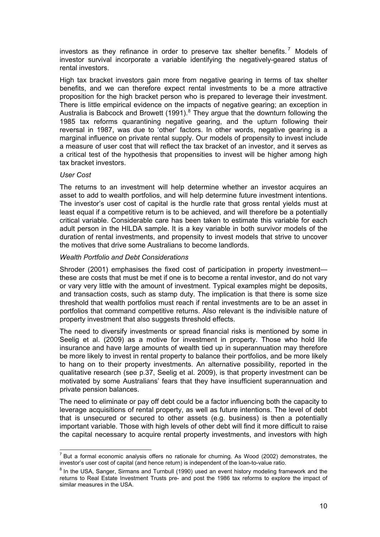<span id="page-16-0"></span>investors as they refinance in order to preserve tax shelter benefits.<sup>[7](#page-16-0)</sup> Models of investor survival incorporate a variable identifying the negatively-geared status of rental investors.

High tax bracket investors gain more from negative gearing in terms of tax shelter benefits, and we can therefore expect rental investments to be a more attractive proposition for the high bracket person who is prepared to leverage their investment. There is little empirical evidence on the impacts of negative gearing; an exception in Australia is Babcock and Browett (1991). $^8$  $^8$  They argue that the downturn following the 1985 tax reforms quarantining negative gearing, and the upturn following their reversal in 1987, was due to 'other' factors. In other words, negative gearing is a marginal influence on private rental supply. Our models of propensity to invest include a measure of user cost that will reflect the tax bracket of an investor, and it serves as a critical test of the hypothesis that propensities to invest will be higher among high tax bracket investors.

#### *User Cost*

The returns to an investment will help determine whether an investor acquires an asset to add to wealth portfolios, and will help determine future investment intentions. The investor's user cost of capital is the hurdle rate that gross rental yields must at least equal if a competitive return is to be achieved, and will therefore be a potentially critical variable. Considerable care has been taken to estimate this variable for each adult person in the HILDA sample. It is a key variable in both survivor models of the duration of rental investments, and propensity to invest models that strive to uncover the motives that drive some Australians to become landlords.

#### *Wealth Portfolio and Debt Considerations*

Shroder (2001) emphasises the fixed cost of participation in property investment these are costs that must be met if one is to become a rental investor, and do not vary or vary very little with the amount of investment. Typical examples might be deposits, and transaction costs, such as stamp duty. The implication is that there is some size threshold that wealth portfolios must reach if rental investments are to be an asset in portfolios that command competitive returns. Also relevant is the indivisible nature of property investment that also suggests threshold effects.

The need to diversify investments or spread financial risks is mentioned by some in Seelig et al. (2009) as a motive for investment in property. Those who hold life insurance and have large amounts of wealth tied up in superannuation may therefore be more likely to invest in rental property to balance their portfolios, and be more likely to hang on to their property investments. An alternative possibility, reported in the qualitative research (see p.37, Seelig et al. 2009), is that property investment can be motivated by some Australians' fears that they have insufficient superannuation and private pension balances.

The need to eliminate or pay off debt could be a factor influencing both the capacity to leverage acquisitions of rental property, as well as future intentions. The level of debt that is unsecured or secured to other assets (e.g. business) is then a potentially important variable. Those with high levels of other debt will find it more difficult to raise the capital necessary to acquire rental property investments, and investors with high

 $\overline{a}$  $<sup>7</sup>$  But a formal economic analysis offers no rationale for churning. As Wood (2002) demonstrates, the</sup> investor's user cost of capital (and hence return) is independent of the loan-to-value ratio. 8

 $8$  In the USA, Sanger, Sirmans and Turnbull (1990) used an event history modeling framework and the returns to Real Estate Investment Trusts pre- and post the 1986 tax reforms to explore the impact of similar measures in the USA.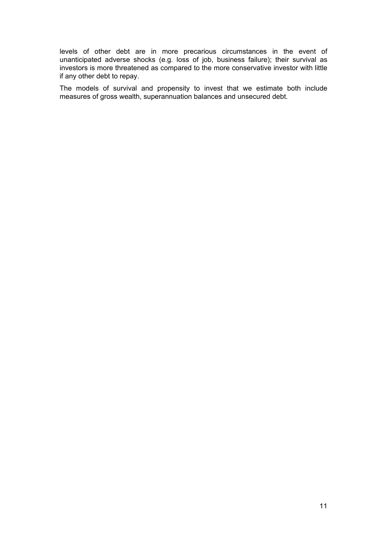levels of other debt are in more precarious circumstances in the event of unanticipated adverse shocks (e.g. loss of job, business failure); their survival as investors is more threatened as compared to the more conservative investor with little if any other debt to repay.

The models of survival and propensity to invest that we estimate both include measures of gross wealth, superannuation balances and unsecured debt.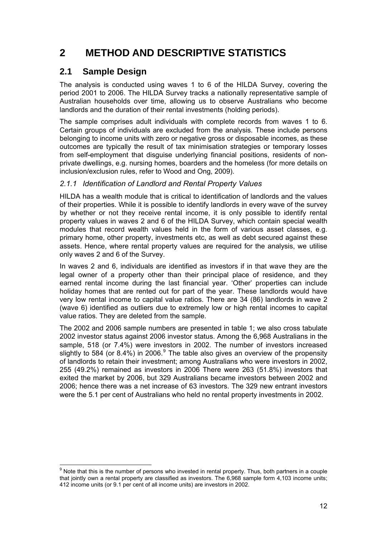## <span id="page-18-0"></span>**2 METHOD AND DESCRIPTIVE STATISTICS**

### **2.1 Sample Design**

The analysis is conducted using waves 1 to 6 of the HILDA Survey, covering the period 2001 to 2006. The HILDA Survey tracks a nationally representative sample of Australian households over time, allowing us to observe Australians who become landlords and the duration of their rental investments (holding periods).

The sample comprises adult individuals with complete records from waves 1 to 6. Certain groups of individuals are excluded from the analysis. These include persons belonging to income units with zero or negative gross or disposable incomes, as these outcomes are typically the result of tax minimisation strategies or temporary losses from self-employment that disguise underlying financial positions, residents of nonprivate dwellings, e.g. nursing homes, boarders and the homeless (for more details on inclusion/exclusion rules, refer to Wood and Ong, 2009).

### *2.1.1 Identification of Landlord and Rental Property Values*

HILDA has a wealth module that is critical to identification of landlords and the values of their properties. While it is possible to identify landlords in every wave of the survey by whether or not they receive rental income, it is only possible to identify rental property values in waves 2 and 6 of the HILDA Survey, which contain special wealth modules that record wealth values held in the form of various asset classes, e.g. primary home, other property, investments etc, as well as debt secured against these assets. Hence, where rental property values are required for the analysis, we utilise only waves 2 and 6 of the Survey.

In waves 2 and 6, individuals are identified as investors if in that wave they are the legal owner of a property other than their principal place of residence, and they earned rental income during the last financial year. 'Other' properties can include holiday homes that are rented out for part of the year. These landlords would have very low rental income to capital value ratios. There are 34 (86) landlords in wave 2 (wave 6) identified as outliers due to extremely low or high rental incomes to capital value ratios. They are deleted from the sample.

The 2002 and 2006 sample numbers are presented in table 1; we also cross tabulate 2002 investor status against 2006 investor status. Among the 6,968 Australians in the sample, 518 (or 7.4%) were investors in 2002. The number of investors increased slightly to 584 (or 8.4%) in 2006. $^9$  $^9$  The table also gives an overview of the propensity of landlords to retain their investment; among Australians who were investors in 2002, 255 (49.2%) remained as investors in 2006 There were 263 (51.8%) investors that exited the market by 2006, but 329 Australians became investors between 2002 and 2006; hence there was a net increase of 63 investors. The 329 new entrant investors were the 5.1 per cent of Australians who held no rental property investments in 2002.

erd on the that this is the number of persons who invested in rental property. Thus, both partners in a couple<br>In Note that this is the number of persons who invested in rental property. Thus, both partners in a couple that jointly own a rental property are classified as investors. The 6,968 sample form 4,103 income units; 412 income units (or 9.1 per cent of all income units) are investors in 2002.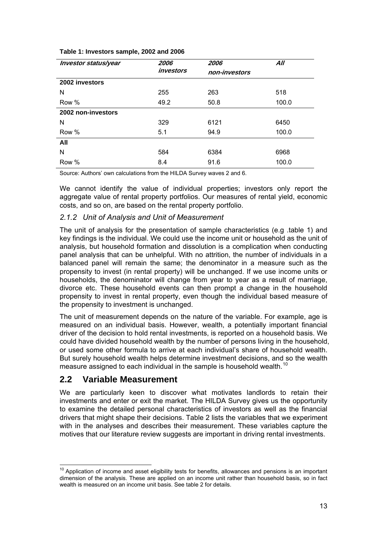#### <span id="page-19-0"></span>**Table 1: Investors sample, 2002 and 2006**

| Investor status/year | 2006      | 2006          | All   |
|----------------------|-----------|---------------|-------|
|                      | investors | non-investors |       |
| 2002 investors       |           |               |       |
| N                    | 255       | 263           | 518   |
| Row %                | 49.2      | 50.8          | 100.0 |
| 2002 non-investors   |           |               |       |
| N                    | 329       | 6121          | 6450  |
| Row %                | 5.1       | 94.9          | 100.0 |
| All                  |           |               |       |
| N                    | 584       | 6384          | 6968  |
| Row %                | 8.4       | 91.6          | 100.0 |

Source: Authors' own calculations from the HILDA Survey waves 2 and 6.

We cannot identify the value of individual properties; investors only report the aggregate value of rental property portfolios. Our measures of rental yield, economic costs, and so on, are based on the rental property portfolio.

#### *2.1.2 Unit of Analysis and Unit of Measurement*

The unit of analysis for the presentation of sample characteristics (e.g .table 1) and key findings is the individual. We could use the income unit or household as the unit of analysis, but household formation and dissolution is a complication when conducting panel analysis that can be unhelpful. With no attrition, the number of individuals in a balanced panel will remain the same; the denominator in a measure such as the propensity to invest (in rental property) will be unchanged. If we use income units or households, the denominator will change from year to year as a result of marriage, divorce etc. These household events can then prompt a change in the household propensity to invest in rental property, even though the individual based measure of the propensity to investment is unchanged.

The unit of measurement depends on the nature of the variable. For example, age is measured on an individual basis. However, wealth, a potentially important financial driver of the decision to hold rental investments, is reported on a household basis. We could have divided household wealth by the number of persons living in the household, or used some other formula to arrive at each individual's share of household wealth. But surely household wealth helps determine investment decisions, and so the wealth measure assigned to each individual in the sample is household wealth.<sup>[10](#page-19-0)</sup>

### **2.2 Variable Measurement**

We are particularly keen to discover what motivates landlords to retain their investments and enter or exit the market. The HILDA Survey gives us the opportunity to examine the detailed personal characteristics of investors as well as the financial drivers that might shape their decisions. Table 2 lists the variables that we experiment with in the analyses and describes their measurement. These variables capture the motives that our literature review suggests are important in driving rental investments.

 $10$  Application of income and asset eligibility tests for benefits, allowances and pensions is an important dimension of the analysis. These are applied on an income unit rather than household basis, so in fact wealth is measured on an income unit basis. See table 2 for details.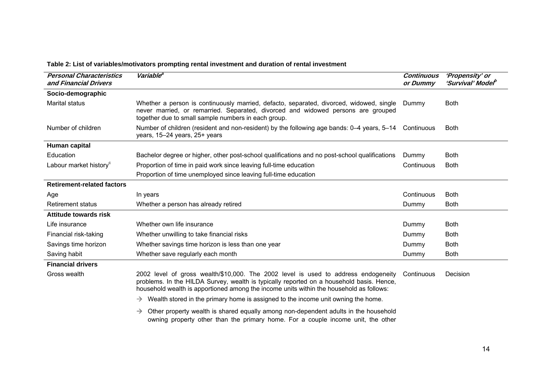| <b>Personal Characteristics</b><br>and Financial Drivers | Variable <sup>a</sup>                                                                                                                                                                                                                                                     | <b>Continuous</b><br>or Dummy | 'Propensity' or<br>'Survival' Model <sup>b</sup> |
|----------------------------------------------------------|---------------------------------------------------------------------------------------------------------------------------------------------------------------------------------------------------------------------------------------------------------------------------|-------------------------------|--------------------------------------------------|
| Socio-demographic                                        |                                                                                                                                                                                                                                                                           |                               |                                                  |
| Marital status                                           | Whether a person is continuously married, defacto, separated, divorced, widowed, single<br>never married, or remarried. Separated, divorced and widowed persons are grouped<br>together due to small sample numbers in each group.                                        | Dummy                         | <b>Both</b>                                      |
| Number of children                                       | Number of children (resident and non-resident) by the following age bands: 0–4 years, 5–14 Continuous<br>years, 15-24 years, 25+ years                                                                                                                                    |                               | <b>Both</b>                                      |
| Human capital                                            |                                                                                                                                                                                                                                                                           |                               |                                                  |
| Education                                                | Bachelor degree or higher, other post-school qualifications and no post-school qualifications                                                                                                                                                                             | Dummy                         | <b>Both</b>                                      |
| Labour market history <sup>c</sup>                       | Proportion of time in paid work since leaving full-time education                                                                                                                                                                                                         | Continuous                    | <b>Both</b>                                      |
|                                                          | Proportion of time unemployed since leaving full-time education                                                                                                                                                                                                           |                               |                                                  |
| <b>Retirement-related factors</b>                        |                                                                                                                                                                                                                                                                           |                               |                                                  |
| Age                                                      | In years                                                                                                                                                                                                                                                                  | Continuous                    | <b>Both</b>                                      |
| <b>Retirement status</b>                                 | Whether a person has already retired                                                                                                                                                                                                                                      | Dummy                         | <b>Both</b>                                      |
| Attitude towards risk                                    |                                                                                                                                                                                                                                                                           |                               |                                                  |
| Life insurance                                           | Whether own life insurance                                                                                                                                                                                                                                                | Dummy                         | <b>Both</b>                                      |
| Financial risk-taking                                    | Whether unwilling to take financial risks                                                                                                                                                                                                                                 | Dummy                         | <b>Both</b>                                      |
| Savings time horizon                                     | Whether savings time horizon is less than one year                                                                                                                                                                                                                        | Dummy                         | <b>Both</b>                                      |
| Saving habit                                             | Whether save regularly each month                                                                                                                                                                                                                                         | Dummy                         | <b>Both</b>                                      |
| <b>Financial drivers</b>                                 |                                                                                                                                                                                                                                                                           |                               |                                                  |
| Gross wealth                                             | 2002 level of gross wealth/\$10,000. The 2002 level is used to address endogeneity<br>problems. In the HILDA Survey, wealth is typically reported on a household basis. Hence,<br>household wealth is apportioned among the income units within the household as follows: | Continuous                    | Decision                                         |
|                                                          | $\rightarrow$ Wealth stored in the primary home is assigned to the income unit owning the home.                                                                                                                                                                           |                               |                                                  |
|                                                          | $\rightarrow$ Other property wealth is shared equally among non-dependent adults in the household                                                                                                                                                                         |                               |                                                  |

### **Table 2: List of variables/motivators prompting rental investment and duration of rental investment**

<span id="page-20-0"></span>owning property other than the primary home. For a couple income unit, the other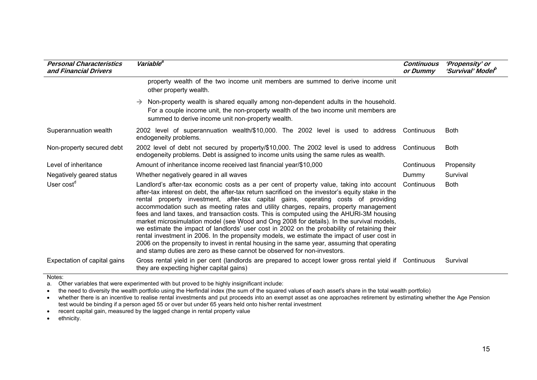| <b>Personal Characteristics</b><br>and Financial Drivers | Variable <sup>a</sup>                                                                                                                                                                                                                                                                                                                                                                                                                                                                                                                                                                                                                                                                                                                                                                                                                                                                                                                          | Continuous<br>or Dummy | 'Propensity' or<br>'Survival' Model <sup>P</sup> |
|----------------------------------------------------------|------------------------------------------------------------------------------------------------------------------------------------------------------------------------------------------------------------------------------------------------------------------------------------------------------------------------------------------------------------------------------------------------------------------------------------------------------------------------------------------------------------------------------------------------------------------------------------------------------------------------------------------------------------------------------------------------------------------------------------------------------------------------------------------------------------------------------------------------------------------------------------------------------------------------------------------------|------------------------|--------------------------------------------------|
|                                                          | property wealth of the two income unit members are summed to derive income unit<br>other property wealth.                                                                                                                                                                                                                                                                                                                                                                                                                                                                                                                                                                                                                                                                                                                                                                                                                                      |                        |                                                  |
|                                                          | Non-property wealth is shared equally among non-dependent adults in the household.<br>$\rightarrow$<br>For a couple income unit, the non-property wealth of the two income unit members are<br>summed to derive income unit non-property wealth.                                                                                                                                                                                                                                                                                                                                                                                                                                                                                                                                                                                                                                                                                               |                        |                                                  |
| Superannuation wealth                                    | 2002 level of superannuation wealth/\$10,000. The 2002 level is used to address Continuous<br>endogeneity problems.                                                                                                                                                                                                                                                                                                                                                                                                                                                                                                                                                                                                                                                                                                                                                                                                                            |                        | <b>Both</b>                                      |
| Non-property secured debt                                | 2002 level of debt not secured by property/\$10,000. The 2002 level is used to address<br>endogeneity problems. Debt is assigned to income units using the same rules as wealth.                                                                                                                                                                                                                                                                                                                                                                                                                                                                                                                                                                                                                                                                                                                                                               | Continuous             | <b>Both</b>                                      |
| Level of inheritance                                     | Amount of inheritance income received last financial year/\$10,000                                                                                                                                                                                                                                                                                                                                                                                                                                                                                                                                                                                                                                                                                                                                                                                                                                                                             | Continuous             | Propensity                                       |
| Negatively geared status                                 | Whether negatively geared in all waves                                                                                                                                                                                                                                                                                                                                                                                                                                                                                                                                                                                                                                                                                                                                                                                                                                                                                                         | Dummy                  | Survival                                         |
| User cost <sup>d</sup>                                   | Landlord's after-tax economic costs as a per cent of property value, taking into account<br>after-tax interest on debt, the after-tax return sacrificed on the investor's equity stake in the<br>rental property investment, after-tax capital gains, operating costs of providing<br>accommodation such as meeting rates and utility charges, repairs, property management<br>fees and land taxes, and transaction costs. This is computed using the AHURI-3M housing<br>market microsimulation model (see Wood and Ong 2008 for details). In the survival models,<br>we estimate the impact of landlords' user cost in 2002 on the probability of retaining their<br>rental investment in 2006. In the propensity models, we estimate the impact of user cost in<br>2006 on the propensity to invest in rental housing in the same year, assuming that operating<br>and stamp duties are zero as these cannot be observed for non-investors. | Continuous             | <b>Both</b>                                      |
| Expectation of capital gains                             | Gross rental yield in per cent (landlords are prepared to accept lower gross rental yield if Continuous<br>they are expecting higher capital gains)                                                                                                                                                                                                                                                                                                                                                                                                                                                                                                                                                                                                                                                                                                                                                                                            |                        | Survival                                         |

#### Notes:

a. Other variables that were experimented with but proved to be highly insignificant include:

• the need to diversity the wealth portfolio using the Herfindal index (the sum of the squared values of each asset's share in the total wealth portfolio)

• whether there is an incentive to realise rental investments and put proceeds into an exempt asset as one approaches retirement by estimating whether the Age Pension test would be binding if a person aged 55 or over but under 65 years held onto his/her rental investment

• recent capital gain, measured by the lagged change in rental property value

•ethnicity.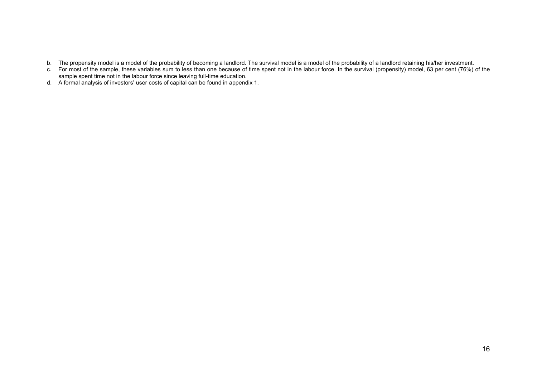- b. The propensity model is a model of the probability of becoming a landlord. The survival model is a model of the probability of a landlord retaining his/her investment.
- c. For most of the sample, these variables sum to less than one because of time spent not in the labour force. In the survival (propensity) model, 63 per cent (76%) of the sample spent time not in the labour force since leaving full-time education.
- d. A formal analysis of investors' user costs of capital can be found in appendix 1.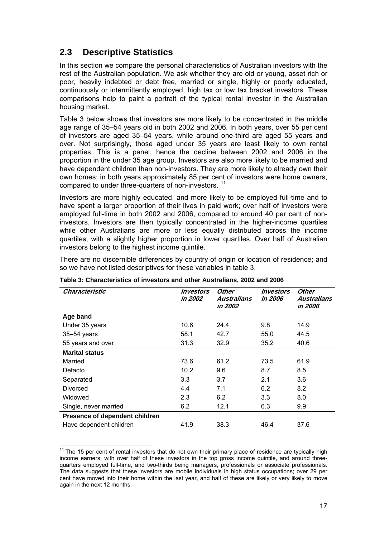### <span id="page-23-0"></span>**2.3 Descriptive Statistics**

In this section we compare the personal characteristics of Australian investors with the rest of the Australian population. We ask whether they are old or young, asset rich or poor, heavily indebted or debt free, married or single, highly or poorly educated, continuously or intermittently employed, high tax or low tax bracket investors. These comparisons help to paint a portrait of the typical rental investor in the Australian housing market.

Table 3 below shows that investors are more likely to be concentrated in the middle age range of 35–54 years old in both 2002 and 2006. In both years, over 55 per cent of investors are aged 35–54 years, while around one-third are aged 55 years and over. Not surprisingly, those aged under 35 years are least likely to own rental properties. This is a panel, hence the decline between 2002 and 2006 in the proportion in the under 35 age group. Investors are also more likely to be married and have dependent children than non-investors. They are more likely to already own their own homes; in both years approximately 85 per cent of investors were home owners, compared to under three-quarters of non-investors.<sup>[11](#page-23-0)</sup>

Investors are more highly educated, and more likely to be employed full-time and to have spent a larger proportion of their lives in paid work; over half of investors were employed full-time in both 2002 and 2006, compared to around 40 per cent of noninvestors. Investors are then typically concentrated in the higher-income quartiles while other Australians are more or less equally distributed across the income quartiles, with a slightly higher proportion in lower quartiles. Over half of Australian investors belong to the highest income quintile.

There are no discernible differences by country of origin or location of residence; and so we have not listed descriptives for these variables in table 3.

| Characteristic                 | Investors<br>in 2002 | Other<br>Australians<br>in 2002 | Investors<br>in 2006 | Other<br><b>Australians</b><br>in 2006 |
|--------------------------------|----------------------|---------------------------------|----------------------|----------------------------------------|
| Age band                       |                      |                                 |                      |                                        |
| Under 35 years                 | 10.6                 | 24.4                            | 9.8                  | 14.9                                   |
| $35 - 54$ years                | 58.1                 | 42.7                            | 55.0                 | 44.5                                   |
| 55 years and over              | 31.3                 | 32.9                            | 35.2                 | 40.6                                   |
| <b>Marital status</b>          |                      |                                 |                      |                                        |
| Married                        | 73.6                 | 61.2                            | 73.5                 | 61.9                                   |
| Defacto                        | 10.2                 | 9.6                             | 8.7                  | 8.5                                    |
| Separated                      | 3.3                  | 3.7                             | 2.1                  | 3.6                                    |
| Divorced                       | 4.4                  | 7.1                             | 6.2                  | 8.2                                    |
| Widowed                        | 2.3                  | 6.2                             | 3.3                  | 8.0                                    |
| Single, never married          | 6.2                  | 12.1                            | 6.3                  | 9.9                                    |
| Presence of dependent children |                      |                                 |                      |                                        |
| Have dependent children        | 41.9                 | 38.3                            | 46.4                 | 37.6                                   |

**Table 3: Characteristics of investors and other Australians, 2002 and 2006** 

 $11$  The 15 per cent of rental investors that do not own their primary place of residence are typically high income earners, with over half of these investors in the top gross income quintile, and around threequarters employed full-time, and two-thirds being managers, professionals or associate professionals. The data suggests that these investors are mobile individuals in high status occupations; over 29 per cent have moved into their home within the last year, and half of these are likely or very likely to move again in the next 12 months.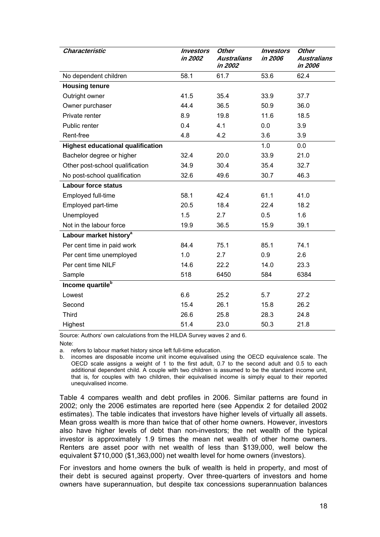| Characteristic                           | <i><b>Investors</b></i><br>in 2002 | <b>Other</b><br><b>Australians</b><br>in 2002 | <i><b>Investors</b></i><br>in 2006 | <b>Other</b><br><b>Australians</b><br>in 2006 |
|------------------------------------------|------------------------------------|-----------------------------------------------|------------------------------------|-----------------------------------------------|
| No dependent children                    | 58.1                               | 61.7                                          | 53.6                               | 62.4                                          |
| <b>Housing tenure</b>                    |                                    |                                               |                                    |                                               |
| Outright owner                           | 41.5                               | 35.4                                          | 33.9                               | 37.7                                          |
| Owner purchaser                          | 44.4                               | 36.5                                          | 50.9                               | 36.0                                          |
| Private renter                           | 8.9                                | 19.8                                          | 11.6                               | 18.5                                          |
| Public renter                            | 0.4                                | 4.1                                           | 0.0                                | 3.9                                           |
| Rent-free                                | 4.8                                | 4.2                                           | 3.6                                | 3.9                                           |
| <b>Highest educational qualification</b> |                                    |                                               | 1.0                                | 0.0                                           |
| Bachelor degree or higher                | 32.4                               | 20.0                                          | 33.9                               | 21.0                                          |
| Other post-school qualification          | 34.9                               | 30.4                                          | 35.4                               | 32.7                                          |
| No post-school qualification             | 32.6                               | 49.6                                          | 30.7                               | 46.3                                          |
| <b>Labour force status</b>               |                                    |                                               |                                    |                                               |
| Employed full-time                       | 58.1                               | 42.4                                          | 61.1                               | 41.0                                          |
| Employed part-time                       | 20.5                               | 18.4                                          | 22.4                               | 18.2                                          |
| Unemployed                               | 1.5                                | 2.7                                           | 0.5                                | 1.6                                           |
| Not in the labour force                  | 19.9                               | 36.5                                          | 15.9                               | 39.1                                          |
| Labour market history <sup>a</sup>       |                                    |                                               |                                    |                                               |
| Per cent time in paid work               | 84.4                               | 75.1                                          | 85.1                               | 74.1                                          |
| Per cent time unemployed                 | 1.0                                | 2.7                                           | 0.9                                | 2.6                                           |
| Per cent time NILF                       | 14.6                               | 22.2                                          | 14.0                               | 23.3                                          |
| Sample                                   | 518                                | 6450                                          | 584                                | 6384                                          |
| Income quartile <sup>b</sup>             |                                    |                                               |                                    |                                               |
| Lowest                                   | 6.6                                | 25.2                                          | 5.7                                | 27.2                                          |
| Second                                   | 15.4                               | 26.1                                          | 15.8                               | 26.2                                          |
| <b>Third</b>                             | 26.6                               | 25.8                                          | 28.3                               | 24.8                                          |
| Highest                                  | 51.4                               | 23.0                                          | 50.3                               | 21.8                                          |

Source: Authors' own calculations from the HILDA Survey waves 2 and 6. Note:

a. refers to labour market history since left full-time education.

b. incomes are disposable income unit income equivalised using the OECD equivalence scale. The OECD scale assigns a weight of 1 to the first adult, 0.7 to the second adult and 0.5 to each additional dependent child. A couple with two children is assumed to be the standard income unit, that is, for couples with two children, their equivalised income is simply equal to their reported unequivalised income.

Table 4 compares wealth and debt profiles in 2006. Similar patterns are found in 2002; only the 2006 estimates are reported here (see Appendix 2 for detailed 2002 estimates). The table indicates that investors have higher levels of virtually all assets. Mean gross wealth is more than twice that of other home owners. However, investors also have higher levels of debt than non-investors; the net wealth of the typical investor is approximately 1.9 times the mean net wealth of other home owners. Renters are asset poor with net wealth of less than \$139,000, well below the equivalent \$710,000 (\$1,363,000) net wealth level for home owners (investors).

For investors and home owners the bulk of wealth is held in property, and most of their debt is secured against property. Over three-quarters of investors and home owners have superannuation, but despite tax concessions superannuation balances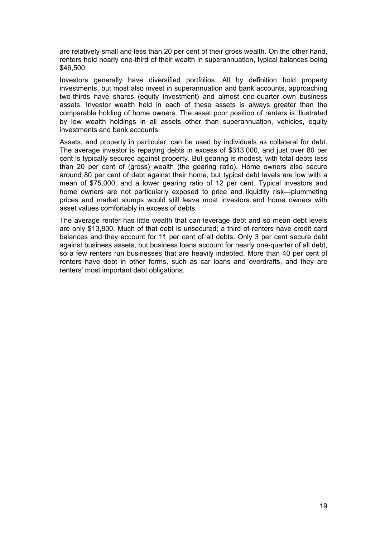are relatively small and less than 20 per cent of their gross wealth. On the other hand, renters hold nearly one-third of their wealth in superannuation, typical balances being \$46,500.

Investors generally have diversified portfolios. All by definition hold property investments, but most also invest in superannuation and bank accounts, approaching two-thirds have shares (equity investment) and almost one-quarter own business assets. Investor wealth held in each of these assets is always greater than the comparable holding of home owners. The asset poor position of renters is illustrated by low wealth holdings in all assets other than superannuation, vehicles, equity investments and bank accounts.

Assets, and property in particular, can be used by individuals as collateral for debt. The average investor is repaying debts in excess of \$313,000, and just over 80 per cent is typically secured against property. But gearing is modest, with total debts less than 20 per cent of (gross) wealth (the gearing ratio). Home owners also secure around 80 per cent of debt against their home, but typical debt levels are low with a mean of \$75,000, and a lower gearing ratio of 12 per cent. Typical investors and home owners are not particularly exposed to price and liquidity risk—plummeting prices and market slumps would still leave most investors and home owners with asset values comfortably in excess of debts.

The average renter has little wealth that can leverage debt and so mean debt levels are only \$13,800. Much of that debt is unsecured; a third of renters have credit card balances and they account for 11 per cent of all debts. Only 3 per cent secure debt against business assets, but business loans account for nearly one-quarter of all debt, so a few renters run businesses that are heavily indebted. More than 40 per cent of renters have debt in other forms, such as car loans and overdrafts, and they are renters' most important debt obligations.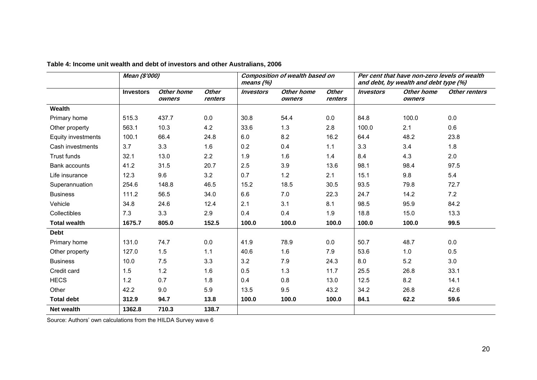|                      | Mean (\$'000)    |                      | <b>Composition of wealth based on</b><br>means $(%)$ |                         | Per cent that have non-zero levels of wealth<br>and debt, by wealth and debt type (%) |                         |                         |                      |               |
|----------------------|------------------|----------------------|------------------------------------------------------|-------------------------|---------------------------------------------------------------------------------------|-------------------------|-------------------------|----------------------|---------------|
|                      | <b>Investors</b> | Other home<br>owners | <b>Other</b><br>renters                              | <i><b>Investors</b></i> | Other home<br>owners                                                                  | <b>Other</b><br>renters | <i><b>Investors</b></i> | Other home<br>owners | Other renters |
| Wealth               |                  |                      |                                                      |                         |                                                                                       |                         |                         |                      |               |
| Primary home         | 515.3            | 437.7                | 0.0                                                  | 30.8                    | 54.4                                                                                  | $0.0\,$                 | 84.8                    | 100.0                | 0.0           |
| Other property       | 563.1            | 10.3                 | 4.2                                                  | 33.6                    | 1.3                                                                                   | 2.8                     | 100.0                   | 2.1                  | 0.6           |
| Equity investments   | 100.1            | 66.4                 | 24.8                                                 | 6.0                     | 8.2                                                                                   | 16.2                    | 64.4                    | 48.2                 | 23.8          |
| Cash investments     | 3.7              | 3.3                  | 1.6                                                  | 0.2                     | 0.4                                                                                   | 1.1                     | 3.3                     | 3.4                  | 1.8           |
| Trust funds          | 32.1             | 13.0                 | 2.2                                                  | 1.9                     | 1.6                                                                                   | 1.4                     | 8.4                     | 4.3                  | 2.0           |
| <b>Bank accounts</b> | 41.2             | 31.5                 | 20.7                                                 | 2.5                     | 3.9                                                                                   | 13.6                    | 98.1                    | 98.4                 | 97.5          |
| Life insurance       | 12.3             | 9.6                  | 3.2                                                  | 0.7                     | 1.2                                                                                   | 2.1                     | 15.1                    | 9.8                  | 5.4           |
| Superannuation       | 254.6            | 148.8                | 46.5                                                 | 15.2                    | 18.5                                                                                  | 30.5                    | 93.5                    | 79.8                 | 72.7          |
| <b>Business</b>      | 111.2            | 56.5                 | 34.0                                                 | 6.6                     | 7.0                                                                                   | 22.3                    | 24.7                    | 14.2                 | 7.2           |
| Vehicle              | 34.8             | 24.6                 | 12.4                                                 | 2.1                     | 3.1                                                                                   | 8.1                     | 98.5                    | 95.9                 | 84.2          |
| Collectibles         | 7.3              | 3.3                  | 2.9                                                  | 0.4                     | 0.4                                                                                   | 1.9                     | 18.8                    | 15.0                 | 13.3          |
| <b>Total wealth</b>  | 1675.7           | 805.0                | 152.5                                                | 100.0                   | 100.0                                                                                 | 100.0                   | 100.0                   | 100.0                | 99.5          |
| <b>Debt</b>          |                  |                      |                                                      |                         |                                                                                       |                         |                         |                      |               |
| Primary home         | 131.0            | 74.7                 | 0.0                                                  | 41.9                    | 78.9                                                                                  | 0.0                     | 50.7                    | 48.7                 | 0.0           |
| Other property       | 127.0            | 1.5                  | 1.1                                                  | 40.6                    | 1.6                                                                                   | 7.9                     | 53.6                    | 1.0                  | 0.5           |
| <b>Business</b>      | 10.0             | 7.5                  | 3.3                                                  | 3.2                     | 7.9                                                                                   | 24.3                    | 8.0                     | 5.2                  | 3.0           |
| Credit card          | 1.5              | 1.2                  | 1.6                                                  | 0.5                     | 1.3                                                                                   | 11.7                    | 25.5                    | 26.8                 | 33.1          |
| <b>HECS</b>          | 1.2              | 0.7                  | 1.8                                                  | 0.4                     | 0.8                                                                                   | 13.0                    | 12.5                    | 8.2                  | 14.1          |
| Other                | 42.2             | 9.0                  | 5.9                                                  | 13.5                    | 9.5                                                                                   | 43.2                    | 34.2                    | 26.8                 | 42.6          |
| <b>Total debt</b>    | 312.9            | 94.7                 | 13.8                                                 | 100.0                   | 100.0                                                                                 | 100.0                   | 84.1                    | 62.2                 | 59.6          |
| <b>Net wealth</b>    | 1362.8           | 710.3                | 138.7                                                |                         |                                                                                       |                         |                         |                      |               |

### **Table 4: Income unit wealth and debt of investors and other Australians, 2006**

<span id="page-26-0"></span>Source: Authors' own calculations from the HILDA Survey wave 6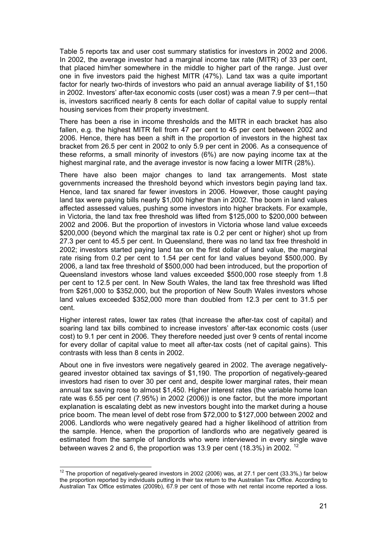<span id="page-27-0"></span>Table 5 reports tax and user cost summary statistics for investors in 2002 and 2006. In 2002, the average investor had a marginal income tax rate (MITR) of 33 per cent, that placed him/her somewhere in the middle to higher part of the range. Just over one in five investors paid the highest MITR (47%). Land tax was a quite important factor for nearly two-thirds of investors who paid an annual average liability of \$1,150 in 2002. Investors' after-tax economic costs (user cost) was a mean 7.9 per cent—that is, investors sacrificed nearly 8 cents for each dollar of capital value to supply rental housing services from their property investment.

There has been a rise in income thresholds and the MITR in each bracket has also fallen, e.g. the highest MITR fell from 47 per cent to 45 per cent between 2002 and 2006. Hence, there has been a shift in the proportion of investors in the highest tax bracket from 26.5 per cent in 2002 to only 5.9 per cent in 2006. As a consequence of these reforms, a small minority of investors (6%) are now paying income tax at the highest marginal rate, and the average investor is now facing a lower MITR (28%).

There have also been major changes to land tax arrangements. Most state governments increased the threshold beyond which investors begin paying land tax. Hence, land tax snared far fewer investors in 2006. However, those caught paying land tax were paying bills nearly \$1,000 higher than in 2002. The boom in land values affected assessed values, pushing some investors into higher brackets. For example, in Victoria, the land tax free threshold was lifted from \$125,000 to \$200,000 between 2002 and 2006. But the proportion of investors in Victoria whose land value exceeds \$200,000 (beyond which the marginal tax rate is 0.2 per cent or higher) shot up from 27.3 per cent to 45.5 per cent. In Queensland, there was no land tax free threshold in 2002; investors started paying land tax on the first dollar of land value, the marginal rate rising from 0.2 per cent to 1.54 per cent for land values beyond \$500,000. By 2006, a land tax free threshold of \$500,000 had been introduced, but the proportion of Queensland investors whose land values exceeded \$500,000 rose steeply from 1.8 per cent to 12.5 per cent. In New South Wales, the land tax free threshold was lifted from \$261,000 to \$352,000, but the proportion of New South Wales investors whose land values exceeded \$352,000 more than doubled from 12.3 per cent to 31.5 per cent.

Higher interest rates, lower tax rates (that increase the after-tax cost of capital) and soaring land tax bills combined to increase investors' after-tax economic costs (user cost) to 9.1 per cent in 2006. They therefore needed just over 9 cents of rental income for every dollar of capital value to meet all after-tax costs (net of capital gains). This contrasts with less than 8 cents in 2002.

About one in five investors were negatively geared in 2002. The average negativelygeared investor obtained tax savings of \$1,190. The proportion of negatively-geared investors had risen to over 30 per cent and, despite lower marginal rates, their mean annual tax saving rose to almost \$1,450. Higher interest rates (the variable home loan rate was 6.55 per cent (7.95%) in 2002 (2006)) is one factor, but the more important explanation is escalating debt as new investors bought into the market during a house price boom. The mean level of debt rose from \$72,000 to \$127,000 between 2002 and 2006. Landlords who were negatively geared had a higher likelihood of attrition from the sample. Hence, when the proportion of landlords who are negatively geared is estimated from the sample of landlords who were interviewed in every single wave between waves 2 and 6, the proportion was 13.9 per cent (18.3%) in 2002. <sup>[12](#page-27-0)</sup>

  $12$  The proportion of negatively-geared investors in 2002 (2006) was, at 27.1 per cent (33.3%,) far below the proportion reported by individuals putting in their tax return to the Australian Tax Office. According to Australian Tax Office estimates (2009b), 67.9 per cent of those with net rental income reported a loss.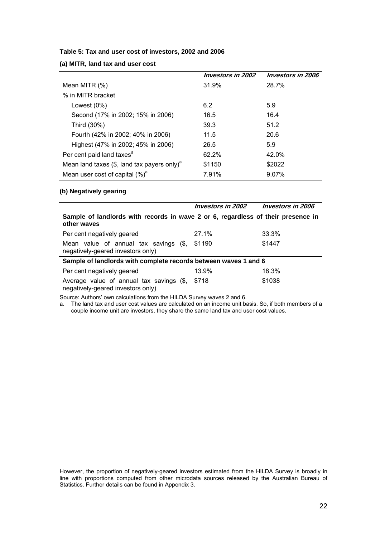#### <span id="page-28-0"></span>**Table 5: Tax and user cost of investors, 2002 and 2006**

**(a) MITR, land tax and user cost** 

|                                                           | <b>Investors in 2002</b> | <b>Investors in 2006</b> |
|-----------------------------------------------------------|--------------------------|--------------------------|
| Mean MITR (%)                                             | 31.9%                    | 28.7%                    |
| % in MITR bracket                                         |                          |                          |
| Lowest $(0\%)$                                            | 6.2                      | 5.9                      |
| Second (17% in 2002; 15% in 2006)                         | 16.5                     | 16.4                     |
| Third (30%)                                               | 39.3                     | 51.2                     |
| Fourth (42% in 2002; 40% in 2006)                         | 11.5                     | 20.6                     |
| Highest (47% in 2002; 45% in 2006)                        | 26.5                     | 5.9                      |
| Per cent paid land taxes <sup>a</sup>                     | 62.2%                    | 42.0%                    |
| Mean land taxes $(\$,$ land tax payers only) <sup>a</sup> | \$1150                   | \$2022                   |
| Mean user cost of capital $(\%)^d$                        | 7.91%                    | 9.07%                    |

#### **(b) Negatively gearing**

|                                                                                                 | <i>Investors in 2002</i> | <i><b>Investors in 2006</b></i> |
|-------------------------------------------------------------------------------------------------|--------------------------|---------------------------------|
| Sample of landlords with records in wave 2 or 6, regardless of their presence in<br>other waves |                          |                                 |
| Per cent negatively geared                                                                      | 27.1%                    | 33.3%                           |
| Mean value of annual tax savings (\$,<br>negatively-geared investors only)                      | \$1190                   | \$1447                          |
| Sample of landlords with complete records between waves 1 and 6                                 |                          |                                 |
| Per cent negatively geared                                                                      | 13.9%                    | 18.3%                           |
| Average value of annual tax savings (\$,<br>negatively-geared investors only)                   | \$718                    | \$1038                          |

Source: Authors' own calculations from the HILDA Survey waves 2 and 6.

a. The land tax and user cost values are calculated on an income unit basis. So, if both members of a couple income unit are investors, they share the same land tax and user cost values.

However, the proportion of negatively-geared investors estimated from the HILDA Survey is broadly in line with proportions computed from other microdata sources released by the Australian Bureau of Statistics. Further details can be found in Appendix 3.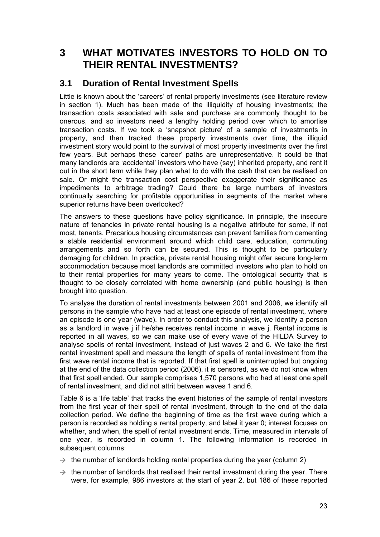### <span id="page-29-0"></span>**3 WHAT MOTIVATES INVESTORS TO HOLD ON TO THEIR RENTAL INVESTMENTS?**

### **3.1 Duration of Rental Investment Spells**

Little is known about the 'careers' of rental property investments (see literature review in section 1). Much has been made of the illiquidity of housing investments; the transaction costs associated with sale and purchase are commonly thought to be onerous, and so investors need a lengthy holding period over which to amortise transaction costs. If we took a 'snapshot picture' of a sample of investments in property, and then tracked these property investments over time, the illiquid investment story would point to the survival of most property investments over the first few years. But perhaps these 'career' paths are unrepresentative. It could be that many landlords are 'accidental' investors who have (say) inherited property, and rent it out in the short term while they plan what to do with the cash that can be realised on sale. Or might the transaction cost perspective exaggerate their significance as impediments to arbitrage trading? Could there be large numbers of investors continually searching for profitable opportunities in segments of the market where superior returns have been overlooked?

The answers to these questions have policy significance. In principle, the insecure nature of tenancies in private rental housing is a negative attribute for some, if not most, tenants. Precarious housing circumstances can prevent families from cementing a stable residential environment around which child care, education, commuting arrangements and so forth can be secured. This is thought to be particularly damaging for children. In practice, private rental housing might offer secure long-term accommodation because most landlords are committed investors who plan to hold on to their rental properties for many years to come. The ontological security that is thought to be closely correlated with home ownership (and public housing) is then brought into question.

To analyse the duration of rental investments between 2001 and 2006, we identify all persons in the sample who have had at least one episode of rental investment, where an episode is one year (wave). In order to conduct this analysis, we identify a person as a landlord in wave j if he/she receives rental income in wave j. Rental income is reported in all waves, so we can make use of every wave of the HILDA Survey to analyse spells of rental investment, instead of just waves 2 and 6. We take the first rental investment spell and measure the length of spells of rental investment from the first wave rental income that is reported. If that first spell is uninterrupted but ongoing at the end of the data collection period (2006), it is censored, as we do not know when that first spell ended. Our sample comprises 1,570 persons who had at least one spell of rental investment, and did not attrit between waves 1 and 6.

Table 6 is a 'life table' that tracks the event histories of the sample of rental investors from the first year of their spell of rental investment, through to the end of the data collection period. We define the beginning of time as the first wave during which a person is recorded as holding a rental property, and label it year 0; interest focuses on whether, and when, the spell of rental investment ends. Time, measured in intervals of one year, is recorded in column 1. The following information is recorded in subsequent columns:

- $\rightarrow$  the number of landlords holding rental properties during the year (column 2)
- $\rightarrow$  the number of landlords that realised their rental investment during the year. There were, for example, 986 investors at the start of year 2, but 186 of these reported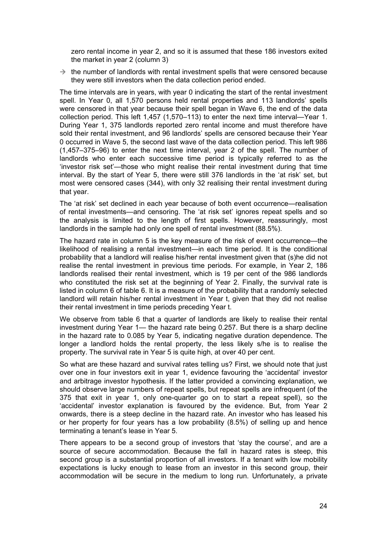zero rental income in year 2, and so it is assumed that these 186 investors exited the market in year 2 (column 3)

 $\rightarrow$  the number of landlords with rental investment spells that were censored because they were still investors when the data collection period ended.

The time intervals are in years, with year 0 indicating the start of the rental investment spell. In Year 0, all 1,570 persons held rental properties and 113 landlords' spells were censored in that year because their spell began in Wave 6, the end of the data collection period. This left 1,457 (1,570–113) to enter the next time interval—Year 1. During Year 1, 375 landlords reported zero rental income and must therefore have sold their rental investment, and 96 landlords' spells are censored because their Year 0 occurred in Wave 5, the second last wave of the data collection period. This left 986 (1,457–375–96) to enter the next time interval, year 2 of the spell. The number of landlords who enter each successive time period is typically referred to as the 'investor risk set'—those who might realise their rental investment during that time interval. By the start of Year 5, there were still 376 landlords in the 'at risk' set, but most were censored cases (344), with only 32 realising their rental investment during that year.

The 'at risk' set declined in each year because of both event occurrence—realisation of rental investments—and censoring. The 'at risk set' ignores repeat spells and so the analysis is limited to the length of first spells. However, reassuringly, most landlords in the sample had only one spell of rental investment (88.5%).

The hazard rate in column 5 is the key measure of the risk of event occurrence—the likelihood of realising a rental investment—in each time period. It is the conditional probability that a landlord will realise his/her rental investment given that (s)he did not realise the rental investment in previous time periods. For example, in Year 2, 186 landlords realised their rental investment, which is 19 per cent of the 986 landlords who constituted the risk set at the beginning of Year 2. Finally, the survival rate is listed in column 6 of table 6. It is a measure of the probability that a randomly selected landlord will retain his/her rental investment in Year t, given that they did not realise their rental investment in time periods preceding Year t.

We observe from table 6 that a quarter of landlords are likely to realise their rental investment during Year 1— the hazard rate being 0.257. But there is a sharp decline in the hazard rate to 0.085 by Year 5, indicating negative duration dependence. The longer a landlord holds the rental property, the less likely s/he is to realise the property. The survival rate in Year 5 is quite high, at over 40 per cent.

So what are these hazard and survival rates telling us? First, we should note that just over one in four investors exit in year 1, evidence favouring the 'accidental' investor and arbitrage investor hypothesis. If the latter provided a convincing explanation, we should observe large numbers of repeat spells, but repeat spells are infrequent (of the 375 that exit in year 1, only one-quarter go on to start a repeat spell), so the 'accidental' investor explanation is favoured by the evidence. But, from Year 2 onwards, there is a steep decline in the hazard rate. An investor who has leased his or her property for four years has a low probability (8.5%) of selling up and hence terminating a tenant's lease in Year 5.

There appears to be a second group of investors that 'stay the course', and are a source of secure accommodation. Because the fall in hazard rates is steep, this second group is a substantial proportion of all investors. If a tenant with low mobility expectations is lucky enough to lease from an investor in this second group, their accommodation will be secure in the medium to long run. Unfortunately, a private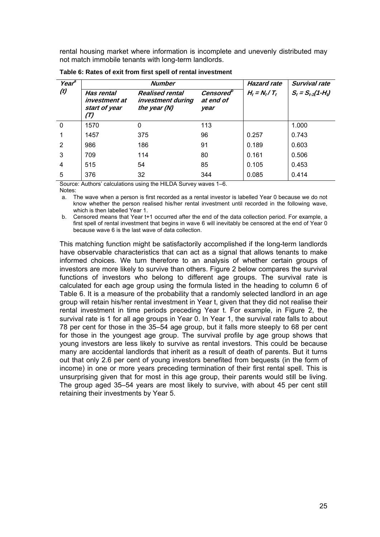<span id="page-31-0"></span>rental housing market where information is incomplete and unevenly distributed may not match immobile tenants with long-term landlords.

| Year <sup>a</sup> |                                                     | <b>Number</b>                                               |                               |                   | Survival rate          |
|-------------------|-----------------------------------------------------|-------------------------------------------------------------|-------------------------------|-------------------|------------------------|
| (t)               | Has rental<br>investment at<br>start of year<br>(T) | <b>Realised rental</b><br>investment during<br>the year (N) | Censored<br>at end of<br>year | $H_t = N_t / T_t$ | $S_t = S_{t-1}(1-H_t)$ |
| $\mathbf 0$       | 1570                                                | 0                                                           | 113                           |                   | 1.000                  |
|                   | 1457                                                | 375                                                         | 96                            | 0.257             | 0.743                  |
| 2                 | 986                                                 | 186                                                         | 91                            | 0.189             | 0.603                  |
| 3                 | 709                                                 | 114                                                         | 80                            | 0.161             | 0.506                  |
| $\overline{4}$    | 515                                                 | 54                                                          | 85                            | 0.105             | 0.453                  |
| 5                 | 376                                                 | 32                                                          | 344                           | 0.085             | 0.414                  |

**Table 6: Rates of exit from first spell of rental investment** 

Source: Authors' calculations using the HILDA Survey waves 1–6.

Notes:

a. The wave when a person is first recorded as a rental investor is labelled Year 0 because we do not know whether the person realised his/her rental investment until recorded in the following wave, which is then labelled Year 1.

b. Censored means that Year t+1 occurred after the end of the data collection period. For example, a first spell of rental investment that begins in wave 6 will inevitably be censored at the end of Year 0 because wave 6 is the last wave of data collection.

This matching function might be satisfactorily accomplished if the long-term landlords have observable characteristics that can act as a signal that allows tenants to make informed choices. We turn therefore to an analysis of whether certain groups of investors are more likely to survive than others. Figure 2 below compares the survival functions of investors who belong to different age groups. The survival rate is calculated for each age group using the formula listed in the heading to column 6 of Table 6. It is a measure of the probability that a randomly selected landlord in an age group will retain his/her rental investment in Year t, given that they did not realise their rental investment in time periods preceding Year t. For example, in Figure 2, the survival rate is 1 for all age groups in Year 0. In Year 1, the survival rate falls to about 78 per cent for those in the 35–54 age group, but it falls more steeply to 68 per cent for those in the youngest age group. The survival profile by age group shows that young investors are less likely to survive as rental investors. This could be because many are accidental landlords that inherit as a result of death of parents. But it turns out that only 2.6 per cent of young investors benefited from bequests (in the form of income) in one or more years preceding termination of their first rental spell. This is unsurprising given that for most in this age group, their parents would still be living. The group aged 35–54 years are most likely to survive, with about 45 per cent still retaining their investments by Year 5.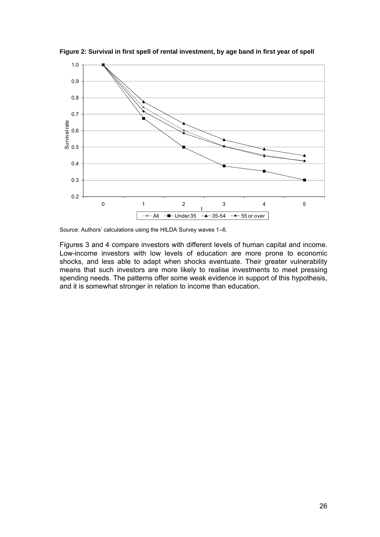

<span id="page-32-0"></span>**Figure 2: Survival in first spell of rental investment, by age band in first year of spell** 

Source: Authors' calculations using the HILDA Survey waves 1–6.

Figures 3 and 4 compare investors with different levels of human capital and income. Low-income investors with low levels of education are more prone to economic shocks, and less able to adapt when shocks eventuate. Their greater vulnerability means that such investors are more likely to realise investments to meet pressing spending needs. The patterns offer some weak evidence in support of this hypothesis, and it is somewhat stronger in relation to income than education.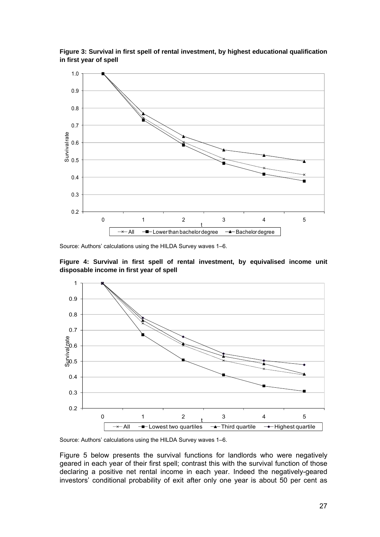

<span id="page-33-0"></span>**Figure 3: Survival in first spell of rental investment, by highest educational qualification in first year of spell** 

Source: Authors' calculations using the HILDA Survey waves 1–6.





Source: Authors' calculations using the HILDA Survey waves 1–6.

Figure 5 below presents the survival functions for landlords who were negatively geared in each year of their first spell; contrast this with the survival function of those declaring a positive net rental income in each year. Indeed the negatively-geared investors' conditional probability of exit after only one year is about 50 per cent as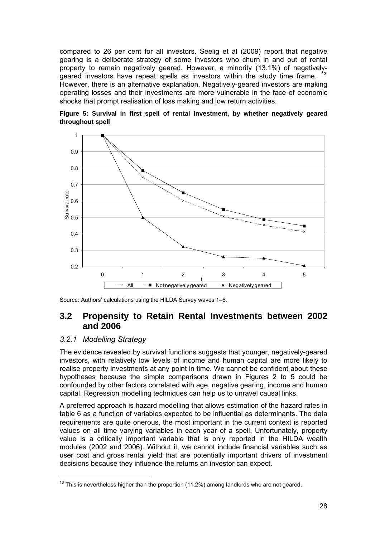<span id="page-34-0"></span>compared to 26 per cent for all investors. Seelig et al (2009) report that negative gearing is a deliberate strategy of some investors who churn in and out of rental property to remain negatively geared. However, a minority (13.1%) of negatively-geared investors have repeat spells as investors within the study time frame. <sup>[13](#page-34-0)</sup> However, there is an alternative explanation. Negatively-geared investors are making operating losses and their investments are more vulnerable in the face of economic shocks that prompt realisation of loss making and low return activities.





Source: Authors' calculations using the HILDA Survey waves 1–6.

### **3.2 Propensity to Retain Rental Investments between 2002 and 2006**

#### *3.2.1 Modelling Strategy*

The evidence revealed by survival functions suggests that younger, negatively-geared investors, with relatively low levels of income and human capital are more likely to realise property investments at any point in time. We cannot be confident about these hypotheses because the simple comparisons drawn in Figures 2 to 5 could be confounded by other factors correlated with age, negative gearing, income and human capital. Regression modelling techniques can help us to unravel causal links.

A preferred approach is hazard modelling that allows estimation of the hazard rates in table 6 as a function of variables expected to be influential as determinants. The data requirements are quite onerous, the most important in the current context is reported values on all time varying variables in each year of a spell. Unfortunately, property value is a critically important variable that is only reported in the HILDA wealth modules (2002 and 2006). Without it, we cannot include financial variables such as user cost and gross rental yield that are potentially important drivers of investment decisions because they influence the returns an investor can expect.

 $13$  This is nevertheless higher than the proportion (11.2%) among landlords who are not geared.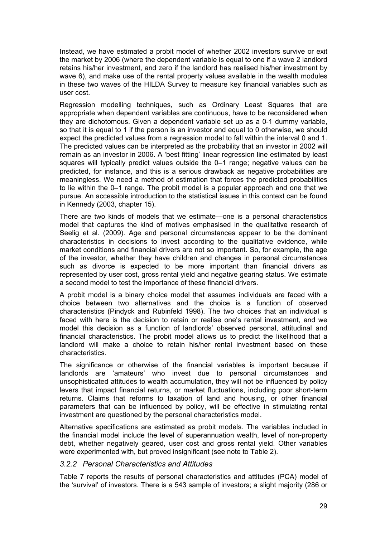<span id="page-35-0"></span>Instead, we have estimated a probit model of whether 2002 investors survive or exit the market by 2006 (where the dependent variable is equal to one if a wave 2 landlord retains his/her investment, and zero if the landlord has realised his/her investment by wave 6), and make use of the rental property values available in the wealth modules in these two waves of the HILDA Survey to measure key financial variables such as user cost.

Regression modelling techniques, such as Ordinary Least Squares that are appropriate when dependent variables are continuous, have to be reconsidered when they are dichotomous. Given a dependent variable set up as a 0-1 dummy variable, so that it is equal to 1 if the person is an investor and equal to 0 otherwise, we should expect the predicted values from a regression model to fall within the interval 0 and 1. The predicted values can be interpreted as the probability that an investor in 2002 will remain as an investor in 2006. A 'best fitting' linear regression line estimated by least squares will typically predict values outside the 0–1 range; negative values can be predicted, for instance, and this is a serious drawback as negative probabilities are meaningless. We need a method of estimation that forces the predicted probabilities to lie within the 0–1 range. The probit model is a popular approach and one that we pursue. An accessible introduction to the statistical issues in this context can be found in Kennedy (2003, chapter 15).

There are two kinds of models that we estimate—one is a personal characteristics model that captures the kind of motives emphasised in the qualitative research of Seelig et al. (2009). Age and personal circumstances appear to be the dominant characteristics in decisions to invest according to the qualitative evidence, while market conditions and financial drivers are not so important. So, for example, the age of the investor, whether they have children and changes in personal circumstances such as divorce is expected to be more important than financial drivers as represented by user cost, gross rental yield and negative gearing status. We estimate a second model to test the importance of these financial drivers.

A probit model is a binary choice model that assumes individuals are faced with a choice between two alternatives and the choice is a function of observed characteristics (Pindyck and Rubinfeld 1998). The two choices that an individual is faced with here is the decision to retain or realise one's rental investment, and we model this decision as a function of landlords' observed personal, attitudinal and financial characteristics. The probit model allows us to predict the likelihood that a landlord will make a choice to retain his/her rental investment based on these characteristics.

The significance or otherwise of the financial variables is important because if landlords are 'amateurs' who invest due to personal circumstances and unsophisticated attitudes to wealth accumulation, they will not be influenced by policy levers that impact financial returns, or market fluctuations, including poor short-term returns. Claims that reforms to taxation of land and housing, or other financial parameters that can be influenced by policy, will be effective in stimulating rental investment are questioned by the personal characteristics model.

Alternative specifications are estimated as probit models. The variables included in the financial model include the level of superannuation wealth, level of non-property debt, whether negatively geared, user cost and gross rental yield. Other variables were experimented with, but proved insignificant (see note to Table 2).

#### *3.2.2 Personal Characteristics and Attitudes*

Table 7 reports the results of personal characteristics and attitudes (PCA) model of the 'survival' of investors. There is a 543 sample of investors; a slight majority (286 or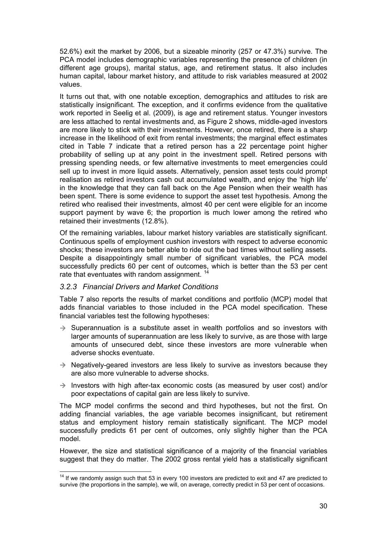<span id="page-36-0"></span>52.6%) exit the market by 2006, but a sizeable minority (257 or 47.3%) survive. The PCA model includes demographic variables representing the presence of children (in different age groups), marital status, age, and retirement status. It also includes human capital, labour market history, and attitude to risk variables measured at 2002 values.

It turns out that, with one notable exception, demographics and attitudes to risk are statistically insignificant. The exception, and it confirms evidence from the qualitative work reported in Seelig et al. (2009), is age and retirement status. Younger investors are less attached to rental investments and, as Figure 2 shows, middle-aged investors are more likely to stick with their investments. However, once retired, there is a sharp increase in the likelihood of exit from rental investments; the marginal effect estimates cited in Table 7 indicate that a retired person has a 22 percentage point higher probability of selling up at any point in the investment spell. Retired persons with pressing spending needs, or few alternative investments to meet emergencies could sell up to invest in more liquid assets. Alternatively, pension asset tests could prompt realisation as retired investors cash out accumulated wealth, and enjoy the 'high life' in the knowledge that they can fall back on the Age Pension when their wealth has been spent. There is some evidence to support the asset test hypothesis. Among the retired who realised their investments, almost 40 per cent were eligible for an income support payment by wave 6; the proportion is much lower among the retired who retained their investments (12.8%).

Of the remaining variables, labour market history variables are statistically significant. Continuous spells of employment cushion investors with respect to adverse economic shocks; these investors are better able to ride out the bad times without selling assets. Despite a disappointingly small number of significant variables, the PCA model successfully predicts 60 per cent of outcomes, which is better than the 53 per cent rate that eventuates with random assignment.<sup>[14](#page-36-0)</sup>

### *3.2.3 Financial Drivers and Market Conditions*

Table 7 also reports the results of market conditions and portfolio (MCP) model that adds financial variables to those included in the PCA model specification. These financial variables test the following hypotheses:

- $\rightarrow$  Superannuation is a substitute asset in wealth portfolios and so investors with larger amounts of superannuation are less likely to survive, as are those with large amounts of unsecured debt, since these investors are more vulnerable when adverse shocks eventuate.
- $\rightarrow$  Negatively-geared investors are less likely to survive as investors because they are also more vulnerable to adverse shocks.
- $\rightarrow$  Investors with high after-tax economic costs (as measured by user cost) and/or poor expectations of capital gain are less likely to survive.

The MCP model confirms the second and third hypotheses, but not the first. On adding financial variables, the age variable becomes insignificant, but retirement status and employment history remain statistically significant. The MCP model successfully predicts 61 per cent of outcomes, only slightly higher than the PCA model.

However, the size and statistical significance of a majority of the financial variables suggest that they do matter. The 2002 gross rental yield has a statistically significant

 $14$  If we randomly assign such that 53 in every 100 investors are predicted to exit and 47 are predicted to survive (the proportions in the sample), we will, on average, correctly predict in 53 per cent of occasions.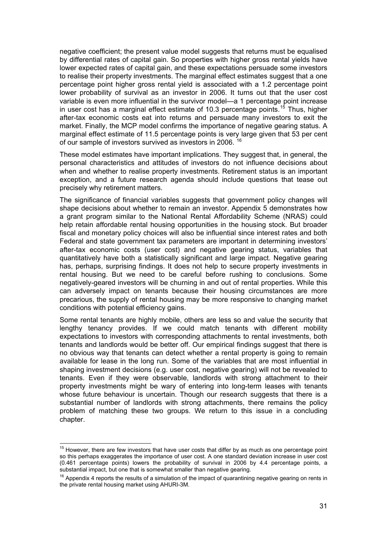<span id="page-37-0"></span>negative coefficient; the present value model suggests that returns must be equalised by differential rates of capital gain. So properties with higher gross rental yields have lower expected rates of capital gain, and these expectations persuade some investors to realise their property investments. The marginal effect estimates suggest that a one percentage point higher gross rental yield is associated with a 1.2 percentage point lower probability of survival as an investor in 2006. It turns out that the user cost variable is even more influential in the survivor model—a 1 percentage point increase in user cost has a marginal effect estimate of 10.3 percentage points.<sup>[15](#page-37-0)</sup> Thus, higher after-tax economic costs eat into returns and persuade many investors to exit the market. Finally, the MCP model confirms the importance of negative gearing status. A marginal effect estimate of 11.5 percentage points is very large given that 53 per cent of our sample of investors survived as investors in 2006.

These model estimates have important implications. They suggest that, in general, the personal characteristics and attitudes of investors do not influence decisions about when and whether to realise property investments. Retirement status is an important exception, and a future research agenda should include questions that tease out precisely why retirement matters.

The significance of financial variables suggests that government policy changes will shape decisions about whether to remain an investor. Appendix 5 demonstrates how a grant program similar to the National Rental Affordability Scheme (NRAS) could help retain affordable rental housing opportunities in the housing stock. But broader fiscal and monetary policy choices will also be influential since interest rates and both Federal and state government tax parameters are important in determining investors' after-tax economic costs (user cost) and negative gearing status, variables that quantitatively have both a statistically significant and large impact. Negative gearing has, perhaps, surprising findings. It does not help to secure property investments in rental housing. But we need to be careful before rushing to conclusions. Some negatively-geared investors will be churning in and out of rental properties. While this can adversely impact on tenants because their housing circumstances are more precarious, the supply of rental housing may be more responsive to changing market conditions with potential efficiency gains.

Some rental tenants are highly mobile, others are less so and value the security that lengthy tenancy provides. If we could match tenants with different mobility expectations to investors with corresponding attachments to rental investments, both tenants and landlords would be better off. Our empirical findings suggest that there is no obvious way that tenants can detect whether a rental property is going to remain available for lease in the long run. Some of the variables that are most influential in shaping investment decisions (e.g. user cost, negative gearing) will not be revealed to tenants. Even if they were observable, landlords with strong attachment to their property investments might be wary of entering into long-term leases with tenants whose future behaviour is uncertain. Though our research suggests that there is a substantial number of landlords with strong attachments, there remains the policy problem of matching these two groups. We return to this issue in a concluding chapter.

 $15$  However, there are few investors that have user costs that differ by as much as one percentage point so this perhaps exaggerates the importance of user cost. A one standard deviation increase in user cost (0.461 percentage points) lowers the probability of survival in 2006 by 4.4 percentage points, a substantial impact, but one that is somewhat smaller than negative gearing.

 $16$  Appendix 4 reports the results of a simulation of the impact of quarantining negative gearing on rents in the private rental housing market using AHURI-3M.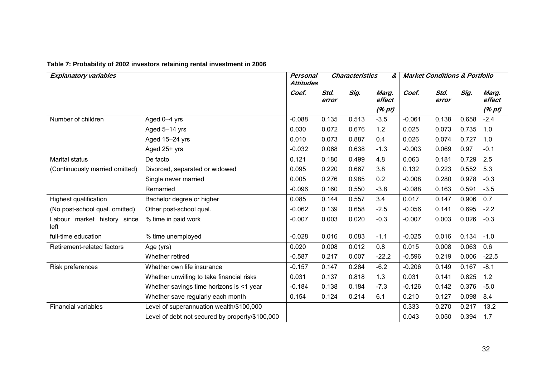<span id="page-38-0"></span>

| <b>Explanatory variables</b>        |                                                 |          | <b>Personal</b><br><b>Characteristics</b><br>&<br><b>Attitudes</b> |       |                 | <b>Market Conditions &amp; Portfolio</b> |               |       |                 |
|-------------------------------------|-------------------------------------------------|----------|--------------------------------------------------------------------|-------|-----------------|------------------------------------------|---------------|-------|-----------------|
|                                     |                                                 | Coef.    | Std.<br>error                                                      | Sig.  | Marg.<br>effect | Coef.                                    | Std.<br>error | Sig.  | Marg.<br>effect |
|                                     |                                                 |          |                                                                    |       | (% pt)          |                                          |               |       | (% pt)          |
| Number of children                  | Aged 0-4 yrs                                    | $-0.088$ | 0.135                                                              | 0.513 | $-3.5$          | $-0.061$                                 | 0.138         | 0.658 | $-2.4$          |
|                                     | Aged 5-14 yrs                                   | 0.030    | 0.072                                                              | 0.676 | 1.2             | 0.025                                    | 0.073         | 0.735 | 1.0             |
|                                     | Aged 15-24 yrs                                  | 0.010    | 0.073                                                              | 0.887 | 0.4             | 0.026                                    | 0.074         | 0.727 | 1.0             |
|                                     | Aged 25+ yrs                                    | $-0.032$ | 0.068                                                              | 0.638 | $-1.3$          | $-0.003$                                 | 0.069         | 0.97  | $-0.1$          |
| <b>Marital status</b>               | De facto                                        | 0.121    | 0.180                                                              | 0.499 | 4.8             | 0.063                                    | 0.181         | 0.729 | 2.5             |
| (Continuously married omitted)      | Divorced, separated or widowed                  | 0.095    | 0.220                                                              | 0.667 | 3.8             | 0.132                                    | 0.223         | 0.552 | 5.3             |
|                                     | Single never married                            | 0.005    | 0.276                                                              | 0.985 | 0.2             | $-0.008$                                 | 0.280         | 0.978 | $-0.3$          |
|                                     | Remarried                                       | $-0.096$ | 0.160                                                              | 0.550 | $-3.8$          | $-0.088$                                 | 0.163         | 0.591 | $-3.5$          |
| Highest qualification               | Bachelor degree or higher                       | 0.085    | 0.144                                                              | 0.557 | 3.4             | 0.017                                    | 0.147         | 0.906 | 0.7             |
| (No post-school qual. omitted)      | Other post-school qual.                         | $-0.062$ | 0.139                                                              | 0.658 | $-2.5$          | $-0.056$                                 | 0.141         | 0.695 | $-2.2$          |
| Labour market history since<br>left | % time in paid work                             | $-0.007$ | 0.003                                                              | 0.020 | $-0.3$          | $-0.007$                                 | 0.003         | 0.026 | $-0.3$          |
| full-time education                 | % time unemployed                               | $-0.028$ | 0.016                                                              | 0.083 | $-1.1$          | $-0.025$                                 | 0.016         | 0.134 | $-1.0$          |
| Retirement-related factors          | Age (yrs)                                       | 0.020    | 0.008                                                              | 0.012 | 0.8             | 0.015                                    | 0.008         | 0.063 | 0.6             |
|                                     | Whether retired                                 | $-0.587$ | 0.217                                                              | 0.007 | $-22.2$         | $-0.596$                                 | 0.219         | 0.006 | $-22.5$         |
| Risk preferences                    | Whether own life insurance                      | $-0.157$ | 0.147                                                              | 0.284 | $-6.2$          | $-0.206$                                 | 0.149         | 0.167 | $-8.1$          |
|                                     | Whether unwilling to take financial risks       | 0.031    | 0.137                                                              | 0.818 | 1.3             | 0.031                                    | 0.141         | 0.825 | 1.2             |
|                                     | Whether savings time horizons is <1 year        | $-0.184$ | 0.138                                                              | 0.184 | $-7.3$          | $-0.126$                                 | 0.142         | 0.376 | $-5.0$          |
|                                     | Whether save regularly each month               | 0.154    | 0.124                                                              | 0.214 | 6.1             | 0.210                                    | 0.127         | 0.098 | 8.4             |
| <b>Financial variables</b>          | Level of superannuation wealth/\$100,000        |          |                                                                    |       |                 | 0.333                                    | 0.270         | 0.217 | 13.2            |
|                                     | Level of debt not secured by property/\$100,000 |          |                                                                    |       |                 | 0.043                                    | 0.050         | 0.394 | 1.7             |

### **Table 7: Probability of 2002 investors retaining rental investment in 2006**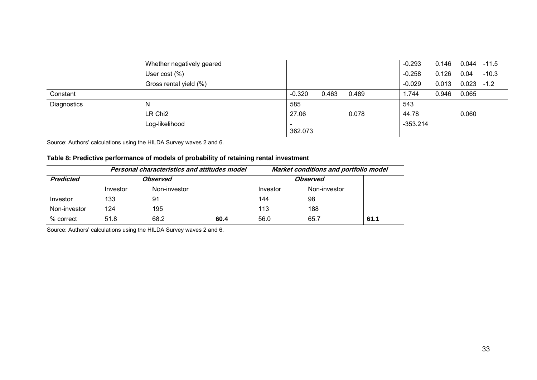|             | Whether negatively geared |                                     |       |       | $-0.293$   | 0.146 | 0.044 | $-11.5$ |
|-------------|---------------------------|-------------------------------------|-------|-------|------------|-------|-------|---------|
|             | User $cost(%)$            |                                     |       |       | $-0.258$   | 0.126 | 0.04  | $-10.3$ |
|             | Gross rental yield (%)    |                                     |       |       | $-0.029$   | 0.013 | 0.023 | $-1.2$  |
| Constant    |                           | $-0.320$                            | 0.463 | 0.489 | 1.744      | 0.946 | 0.065 |         |
| Diagnostics | N                         | 585                                 |       |       | 543        |       |       |         |
|             | LR Chi <sub>2</sub>       | 27.06                               |       | 0.078 | 44.78      |       | 0.060 |         |
|             | Log-likelihood            | $\overline{\phantom{a}}$<br>362.073 |       |       | $-353.214$ |       |       |         |

Source: Authors' calculations using the HILDA Survey waves 2 and 6.

### **Table 8: Predictive performance of models of probability of retaining rental investment**

|              |          | Personal characteristics and attitudes model |                 |          | Market conditions and portfolio model |      |  |
|--------------|----------|----------------------------------------------|-----------------|----------|---------------------------------------|------|--|
| Predicted    | Observed |                                              | <b>Observed</b> |          |                                       |      |  |
|              | Investor | Non-investor                                 |                 | Investor | Non-investor                          |      |  |
| Investor     | 133      | 91                                           |                 | 144      | 98                                    |      |  |
| Non-investor | 124      | 195                                          |                 | 113      | 188                                   |      |  |
| % correct    | 51.8     | 68.2                                         | 60.4            | 56.0     | 65.7                                  | 61.1 |  |

<span id="page-39-0"></span>Source: Authors' calculations using the HILDA Survey waves 2 and 6.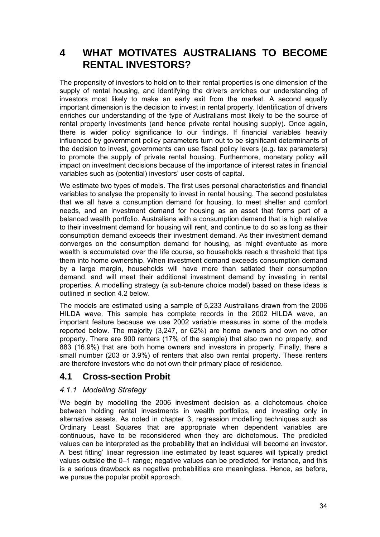### <span id="page-40-0"></span>**4 WHAT MOTIVATES AUSTRALIANS TO BECOME RENTAL INVESTORS?**

The propensity of investors to hold on to their rental properties is one dimension of the supply of rental housing, and identifying the drivers enriches our understanding of investors most likely to make an early exit from the market. A second equally important dimension is the decision to invest in rental property. Identification of drivers enriches our understanding of the type of Australians most likely to be the source of rental property investments (and hence private rental housing supply). Once again, there is wider policy significance to our findings. If financial variables heavily influenced by government policy parameters turn out to be significant determinants of the decision to invest, governments can use fiscal policy levers (e.g. tax parameters) to promote the supply of private rental housing. Furthermore, monetary policy will impact on investment decisions because of the importance of interest rates in financial variables such as (potential) investors' user costs of capital.

We estimate two types of models. The first uses personal characteristics and financial variables to analyse the propensity to invest in rental housing. The second postulates that we all have a consumption demand for housing, to meet shelter and comfort needs, and an investment demand for housing as an asset that forms part of a balanced wealth portfolio. Australians with a consumption demand that is high relative to their investment demand for housing will rent, and continue to do so as long as their consumption demand exceeds their investment demand. As their investment demand converges on the consumption demand for housing, as might eventuate as more wealth is accumulated over the life course, so households reach a threshold that tips them into home ownership. When investment demand exceeds consumption demand by a large margin, households will have more than satiated their consumption demand, and will meet their additional investment demand by investing in rental properties. A modelling strategy (a sub-tenure choice model) based on these ideas is outlined in section 4.2 below.

The models are estimated using a sample of 5,233 Australians drawn from the 2006 HILDA wave. This sample has complete records in the 2002 HILDA wave, an important feature because we use 2002 variable measures in some of the models reported below. The majority (3,247, or 62%) are home owners and own no other property. There are 900 renters (17% of the sample) that also own no property, and 883 (16.9%) that are both home owners and investors in property. Finally, there a small number (203 or 3.9%) of renters that also own rental property. These renters are therefore investors who do not own their primary place of residence.

### **4.1 Cross-section Probit**

### *4.1.1 Modelling Strategy*

We begin by modelling the 2006 investment decision as a dichotomous choice between holding rental investments in wealth portfolios, and investing only in alternative assets. As noted in chapter 3, regression modelling techniques such as Ordinary Least Squares that are appropriate when dependent variables are continuous, have to be reconsidered when they are dichotomous. The predicted values can be interpreted as the probability that an individual will become an investor. A 'best fitting' linear regression line estimated by least squares will typically predict values outside the 0–1 range; negative values can be predicted, for instance, and this is a serious drawback as negative probabilities are meaningless. Hence, as before, we pursue the popular probit approach.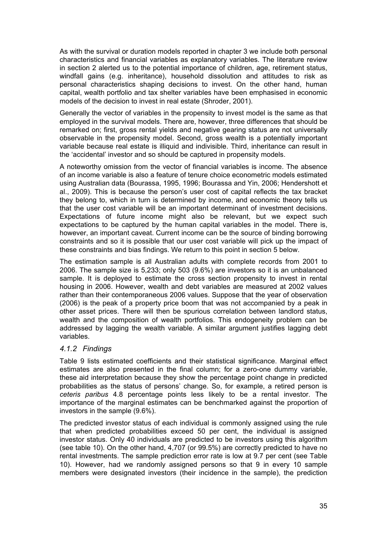<span id="page-41-0"></span>As with the survival or duration models reported in chapter 3 we include both personal characteristics and financial variables as explanatory variables. The literature review in section 2 alerted us to the potential importance of children, age, retirement status, windfall gains (e.g. inheritance), household dissolution and attitudes to risk as personal characteristics shaping decisions to invest. On the other hand, human capital, wealth portfolio and tax shelter variables have been emphasised in economic models of the decision to invest in real estate (Shroder, 2001).

Generally the vector of variables in the propensity to invest model is the same as that employed in the survival models. There are, however, three differences that should be remarked on; first, gross rental yields and negative gearing status are not universally observable in the propensity model. Second, gross wealth is a potentially important variable because real estate is illiquid and indivisible. Third, inheritance can result in the 'accidental' investor and so should be captured in propensity models.

A noteworthy omission from the vector of financial variables is income. The absence of an income variable is also a feature of tenure choice econometric models estimated using Australian data (Bourassa, 1995, 1996; Bourassa and Yin, 2006; Hendershott et al., 2009). This is because the person's user cost of capital reflects the tax bracket they belong to, which in turn is determined by income, and economic theory tells us that the user cost variable will be an important determinant of investment decisions. Expectations of future income might also be relevant, but we expect such expectations to be captured by the human capital variables in the model. There is, however, an important caveat. Current income can be the source of binding borrowing constraints and so it is possible that our user cost variable will pick up the impact of these constraints and bias findings. We return to this point in section 5 below.

The estimation sample is all Australian adults with complete records from 2001 to 2006. The sample size is 5,233; only 503 (9.6%) are investors so it is an unbalanced sample. It is deployed to estimate the cross section propensity to invest in rental housing in 2006. However, wealth and debt variables are measured at 2002 values rather than their contemporaneous 2006 values. Suppose that the year of observation (2006) is the peak of a property price boom that was not accompanied by a peak in other asset prices. There will then be spurious correlation between landlord status, wealth and the composition of wealth portfolios. This endogeneity problem can be addressed by lagging the wealth variable. A similar argument justifies lagging debt variables.

### *4.1.2 Findings*

Table 9 lists estimated coefficients and their statistical significance. Marginal effect estimates are also presented in the final column; for a zero-one dummy variable, these aid interpretation because they show the percentage point change in predicted probabilities as the status of persons' change. So, for example, a retired person is *ceteris paribus* 4.8 percentage points less likely to be a rental investor. The importance of the marginal estimates can be benchmarked against the proportion of investors in the sample (9.6%).

The predicted investor status of each individual is commonly assigned using the rule that when predicted probabilities exceed 50 per cent, the individual is assigned investor status. Only 40 individuals are predicted to be investors using this algorithm (see table 10). On the other hand, 4,707 (or 99.5%) are correctly predicted to have no rental investments. The sample prediction error rate is low at 9.7 per cent (see Table 10). However, had we randomly assigned persons so that 9 in every 10 sample members were designated investors (their incidence in the sample), the prediction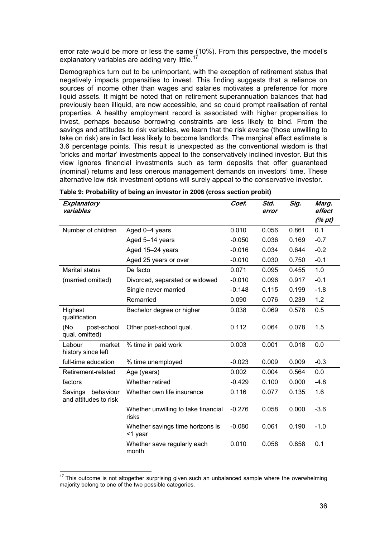<span id="page-42-0"></span>error rate would be more or less the same (10%). From this perspective, the model's explanatory variables are adding very little.<sup>[17](#page-42-0)</sup>

Demographics turn out to be unimportant, with the exception of retirement status that negatively impacts propensities to invest. This finding suggests that a reliance on sources of income other than wages and salaries motivates a preference for more liquid assets. It might be noted that on retirement superannuation balances that had previously been illiquid, are now accessible, and so could prompt realisation of rental properties. A healthy employment record is associated with higher propensities to invest, perhaps because borrowing constraints are less likely to bind. From the savings and attitudes to risk variables, we learn that the risk averse (those unwilling to take on risk) are in fact less likely to become landlords. The marginal effect estimate is 3.6 percentage points. This result is unexpected as the conventional wisdom is that 'bricks and mortar' investments appeal to the conservatively inclined investor. But this view ignores financial investments such as term deposits that offer guaranteed (nominal) returns and less onerous management demands on investors' time. These alternative low risk investment options will surely appeal to the conservative investor.

| Explanatory<br>variables                      |                                              | Coef.    | Std.<br>error | $\overline{Sig}$ . | Marg.<br>effect |
|-----------------------------------------------|----------------------------------------------|----------|---------------|--------------------|-----------------|
|                                               |                                              |          |               |                    | (% pt)          |
| Number of children                            | Aged 0-4 years                               | 0.010    | 0.056         | 0.861              | 0.1             |
|                                               | Aged 5-14 years                              | $-0.050$ | 0.036         | 0.169              | $-0.7$          |
|                                               | Aged 15-24 years                             | $-0.016$ | 0.034         | 0.644              | $-0.2$          |
|                                               | Aged 25 years or over                        | $-0.010$ | 0.030         | 0.750              | $-0.1$          |
| <b>Marital status</b>                         | De facto                                     | 0.071    | 0.095         | 0.455              | 1.0             |
| (married omitted)                             | Divorced, separated or widowed               | $-0.010$ | 0.096         | 0.917              | $-0.1$          |
|                                               | Single never married                         | $-0.148$ | 0.115         | 0.199              | $-1.8$          |
|                                               | Remarried                                    | 0.090    | 0.076         | 0.239              | 1.2             |
| Highest<br>qualification                      | Bachelor degree or higher                    | 0.038    | 0.069         | 0.578              | 0.5             |
| (No<br>post-school<br>qual. omitted)          | Other post-school qual.                      | 0.112    | 0.064         | 0.078              | 1.5             |
| Labour<br>market<br>history since left        | % time in paid work                          | 0.003    | 0.001         | 0.018              | 0.0             |
| full-time education                           | % time unemployed                            | $-0.023$ | 0.009         | 0.009              | $-0.3$          |
| Retirement-related                            | Age (years)                                  | 0.002    | 0.004         | 0.564              | 0.0             |
| factors                                       | Whether retired                              | $-0.429$ | 0.100         | 0.000              | $-4.8$          |
| behaviour<br>Savings<br>and attitudes to risk | Whether own life insurance                   | 0.116    | 0.077         | 0.135              | 1.6             |
|                                               | Whether unwilling to take financial<br>risks | $-0.276$ | 0.058         | 0.000              | $-3.6$          |
|                                               | Whether savings time horizons is<br><1 year  | $-0.080$ | 0.061         | 0.190              | $-1.0$          |
|                                               | Whether save regularly each<br>month         | 0.010    | 0.058         | 0.858              | 0.1             |

 $\overline{a}$ 

 $17$  This outcome is not altogether surprising given such an unbalanced sample where the overwhelming majority belong to one of the two possible categories.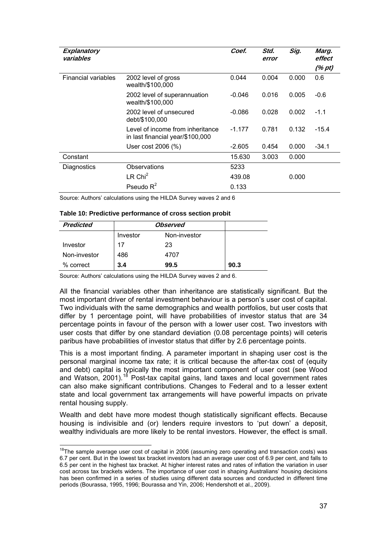<span id="page-43-0"></span>

| Explanatory<br>variables |                                                                      | Coef.    | Std.<br>error | Sig.  | Marg.<br>effect |
|--------------------------|----------------------------------------------------------------------|----------|---------------|-------|-----------------|
|                          |                                                                      |          |               |       | (% pt)          |
| Financial variables      | 2002 level of gross<br>wealth/\$100,000                              | 0.044    | 0.004         | 0.000 | 0.6             |
|                          | 2002 level of superannuation<br>wealth/\$100,000                     | -0.046   | 0.016         | 0.005 | $-0.6$          |
|                          | 2002 level of unsecured<br>debt/\$100,000                            | $-0.086$ | 0.028         | 0.002 | $-1.1$          |
|                          | Level of income from inheritance<br>in last financial year/\$100,000 | $-1.177$ | 0.781         | 0.132 | $-15.4$         |
|                          | User cost 2006 (%)                                                   | $-2.605$ | 0.454         | 0.000 | $-34.1$         |
| Constant                 |                                                                      | 15.630   | 3.003         | 0.000 |                 |
| Diagnostics              | Observations                                                         | 5233     |               |       |                 |
|                          | $LR$ Chi <sup>2</sup>                                                | 439.08   |               | 0.000 |                 |
|                          | Pseudo $R^2$                                                         | 0.133    |               |       |                 |

Source: Authors' calculations using the HILDA Survey waves 2 and 6

| Table 10: Predictive performance of cross section probit |  |  |
|----------------------------------------------------------|--|--|
|                                                          |  |  |

| <b>Predicted</b> | <b>Observed</b> |              |      |
|------------------|-----------------|--------------|------|
|                  | Investor        | Non-investor |      |
| Investor         | 17              | 23           |      |
| Non-investor     | 486             | 4707         |      |
| % correct        | 3.4             | 99.5         | 90.3 |

Source: Authors' calculations using the HILDA Survey waves 2 and 6.

All the financial variables other than inheritance are statistically significant. But the most important driver of rental investment behaviour is a person's user cost of capital. Two individuals with the same demographics and wealth portfolios, but user costs that differ by 1 percentage point, will have probabilities of investor status that are 34 percentage points in favour of the person with a lower user cost. Two investors with user costs that differ by one standard deviation (0.08 percentage points) will ceteris paribus have probabilities of investor status that differ by 2.6 percentage points.

This is a most important finding. A parameter important in shaping user cost is the personal marginal income tax rate; it is critical because the after-tax cost of (equity and debt) capital is typically the most important component of user cost (see Wood and Watson, 2001).<sup>[18](#page-43-0)</sup> Post-tax capital gains, land taxes and local government rates can also make significant contributions. Changes to Federal and to a lesser extent state and local government tax arrangements will have powerful impacts on private rental housing supply.

Wealth and debt have more modest though statistically significant effects. Because housing is indivisible and (or) lenders require investors to 'put down' a deposit, wealthy individuals are more likely to be rental investors. However, the effect is small.

 $18$ The sample average user cost of capital in 2006 (assuming zero operating and transaction costs) was 6.7 per cent. But in the lowest tax bracket investors had an average user cost of 6.9 per cent, and falls to 6.5 per cent in the highest tax bracket. At higher interest rates and rates of inflation the variation in user cost across tax brackets widens. The importance of user cost in shaping Australians' housing decisions has been confirmed in a series of studies using different data sources and conducted in different time periods (Bourassa, 1995, 1996; Bourassa and Yin, 2006; Hendershott et al., 2009).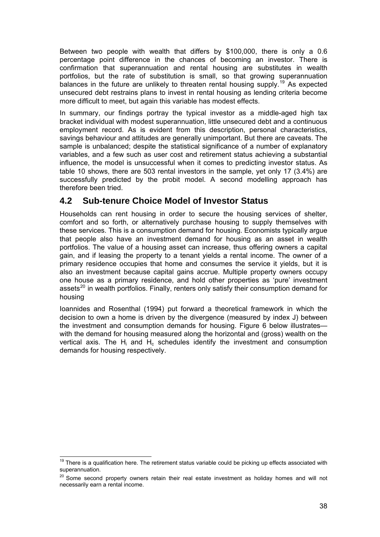<span id="page-44-0"></span>Between two people with wealth that differs by \$100,000, there is only a 0.6 percentage point difference in the chances of becoming an investor. There is confirmation that superannuation and rental housing are substitutes in wealth portfolios, but the rate of substitution is small, so that growing superannuation balances in the future are unlikely to threaten rental housing supply.<sup>[19](#page-44-0)</sup> As expected unsecured debt restrains plans to invest in rental housing as lending criteria become more difficult to meet, but again this variable has modest effects.

In summary, our findings portray the typical investor as a middle-aged high tax bracket individual with modest superannuation, little unsecured debt and a continuous employment record. As is evident from this description, personal characteristics, savings behaviour and attitudes are generally unimportant. But there are caveats. The sample is unbalanced; despite the statistical significance of a number of explanatory variables, and a few such as user cost and retirement status achieving a substantial influence, the model is unsuccessful when it comes to predicting investor status. As table 10 shows, there are 503 rental investors in the sample, yet only 17 (3.4%) are successfully predicted by the probit model. A second modelling approach has therefore been tried.

### **4.2 Sub-tenure Choice Model of Investor Status**

Households can rent housing in order to secure the housing services of shelter, comfort and so forth, or alternatively purchase housing to supply themselves with these services. This is a consumption demand for housing. Economists typically argue that people also have an investment demand for housing as an asset in wealth portfolios. The value of a housing asset can increase, thus offering owners a capital gain, and if leasing the property to a tenant yields a rental income. The owner of a primary residence occupies that home and consumes the service it yields, but it is also an investment because capital gains accrue. Multiple property owners occupy one house as a primary residence, and hold other properties as 'pure' investment assets<sup>[20](#page-44-0)</sup> in wealth portfolios. Finally, renters only satisfy their consumption demand for housing

Ioannides and Rosenthal (1994) put forward a theoretical framework in which the decision to own a home is driven by the divergence (measured by index J) between the investment and consumption demands for housing. Figure 6 below illustrates with the demand for housing measured along the horizontal and (gross) wealth on the vertical axis. The  $H_i$  and  $H_c$  schedules identify the investment and consumption demands for housing respectively.

  $19$  There is a qualification here. The retirement status variable could be picking up effects associated with superannuation.

<sup>&</sup>lt;sup>20</sup> Some second property owners retain their real estate investment as holiday homes and will not necessarily earn a rental income.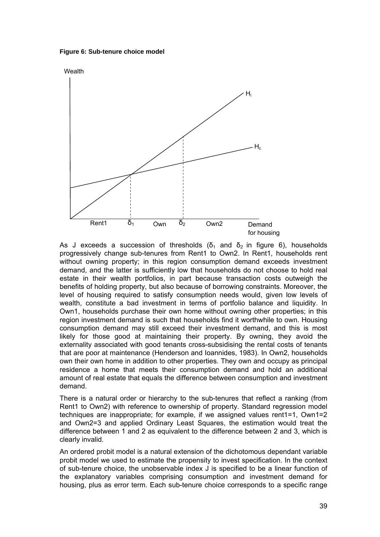<span id="page-45-0"></span>**Figure 6: Sub-tenure choice model** 



As J exceeds a succession of thresholds ( $\delta_1$  and  $\delta_2$  in figure 6), households progressively change sub-tenures from Rent1 to Own2. In Rent1, households rent without owning property; in this region consumption demand exceeds investment demand, and the latter is sufficiently low that households do not choose to hold real estate in their wealth portfolios, in part because transaction costs outweigh the benefits of holding property, but also because of borrowing constraints. Moreover, the level of housing required to satisfy consumption needs would, given low levels of wealth, constitute a bad investment in terms of portfolio balance and liquidity. In Own1, households purchase their own home without owning other properties; in this region investment demand is such that households find it worthwhile to own. Housing consumption demand may still exceed their investment demand, and this is most likely for those good at maintaining their property. By owning, they avoid the externality associated with good tenants cross-subsidising the rental costs of tenants that are poor at maintenance (Henderson and Ioannides, 1983). In Own2, households own their own home in addition to other properties. They own and occupy as principal residence a home that meets their consumption demand and hold an additional amount of real estate that equals the difference between consumption and investment demand.

There is a natural order or hierarchy to the sub-tenures that reflect a ranking (from Rent1 to Own2) with reference to ownership of property. Standard regression model techniques are inappropriate; for example, if we assigned values rent1=1, Own1=2 and Own2=3 and applied Ordinary Least Squares, the estimation would treat the difference between 1 and 2 as equivalent to the difference between 2 and 3, which is clearly invalid.

An ordered probit model is a natural extension of the dichotomous dependant variable probit model we used to estimate the propensity to invest specification. In the context of sub-tenure choice, the unobservable index J is specified to be a linear function of the explanatory variables comprising consumption and investment demand for housing, plus as error term. Each sub-tenure choice corresponds to a specific range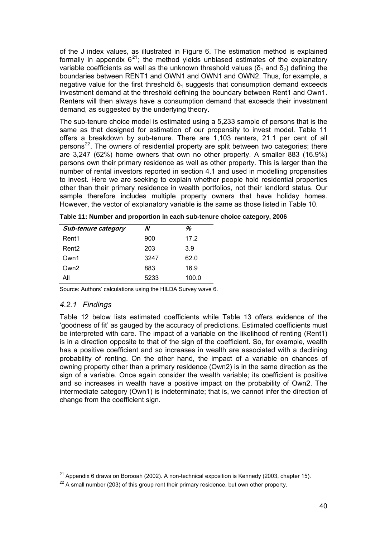<span id="page-46-0"></span>of the J index values, as illustrated in Figure 6. The estimation method is explained formally in appendix  $6^{21}$  $6^{21}$  $6^{21}$ ; the method yields unbiased estimates of the explanatory variable coefficients as well as the unknown threshold values (δ<sub>1</sub> and δ<sub>2</sub>) defining the boundaries between RENT1 and OWN1 and OWN1 and OWN2. Thus, for example, a negative value for the first threshold  $\delta_1$  suggests that consumption demand exceeds investment demand at the threshold defining the boundary between Rent1 and Own1. Renters will then always have a consumption demand that exceeds their investment demand, as suggested by the underlying theory.

The sub-tenure choice model is estimated using a 5,233 sample of persons that is the same as that designed for estimation of our propensity to invest model. Table 11 offers a breakdown by sub-tenure. There are 1,103 renters, 21.1 per cent of all persons $^{22}$  $^{22}$  $^{22}$ . The owners of residential property are split between two categories; there are 3,247 (62%) home owners that own no other property. A smaller 883 (16.9%) persons own their primary residence as well as other property. This is larger than the number of rental investors reported in section 4.1 and used in modelling propensities to invest. Here we are seeking to explain whether people hold residential properties other than their primary residence in wealth portfolios, not their landlord status. Our sample therefore includes multiple property owners that have holiday homes. However, the vector of explanatory variable is the same as those listed in Table 10.

| <b>Sub-tenure category</b> |      | %     |
|----------------------------|------|-------|
| Rent1                      | 900  | 17.2  |
| Rent <sub>2</sub>          | 203  | 3.9   |
| Own1                       | 3247 | 62.0  |
| Own2                       | 883  | 16.9  |
| All                        | 5233 | 100.0 |

**Table 11: Number and proportion in each sub-tenure choice category, 2006** 

Source: Authors' calculations using the HILDA Survey wave 6.

### *4.2.1 Findings*

Table 12 below lists estimated coefficients while Table 13 offers evidence of the 'goodness of fit' as gauged by the accuracy of predictions. Estimated coefficients must be interpreted with care. The impact of a variable on the likelihood of renting (Rent1) is in a direction opposite to that of the sign of the coefficient. So, for example, wealth has a positive coefficient and so increases in wealth are associated with a declining probability of renting. On the other hand, the impact of a variable on chances of owning property other than a primary residence (Own2) is in the same direction as the sign of a variable. Once again consider the wealth variable; its coefficient is positive and so increases in wealth have a positive impact on the probability of Own2. The intermediate category (Own1) is indeterminate; that is, we cannot infer the direction of change from the coefficient sign.

 $\overline{a}$ <sup>21</sup> Appendix 6 draws on Borooah (2002). A non-technical exposition is Kennedy (2003, chapter 15).

 $22$  A small number (203) of this group rent their primary residence, but own other property.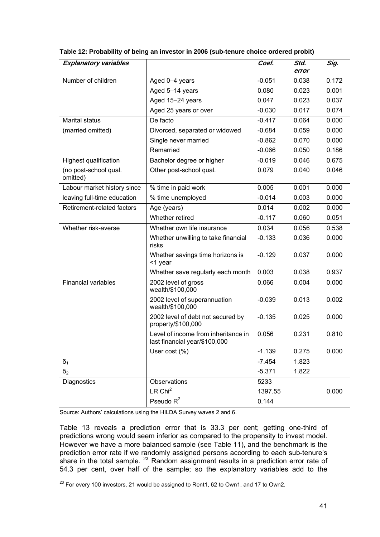| <b>Explanatory variables</b>      |                                                                      | Coef.    | Std.<br>error | Sig.  |
|-----------------------------------|----------------------------------------------------------------------|----------|---------------|-------|
| Number of children                | Aged 0-4 years                                                       | $-0.051$ | 0.038         | 0.172 |
|                                   | Aged 5-14 years                                                      | 0.080    | 0.023         | 0.001 |
|                                   | Aged 15-24 years                                                     | 0.047    | 0.023         | 0.037 |
|                                   | Aged 25 years or over                                                | $-0.030$ | 0.017         | 0.074 |
| <b>Marital status</b>             | De facto                                                             | $-0.417$ | 0.064         | 0.000 |
| (married omitted)                 | Divorced, separated or widowed                                       | $-0.684$ | 0.059         | 0.000 |
|                                   | Single never married                                                 | $-0.862$ | 0.070         | 0.000 |
|                                   | Remarried                                                            | $-0.066$ | 0.050         | 0.186 |
| <b>Highest qualification</b>      | Bachelor degree or higher                                            | $-0.019$ | 0.046         | 0.675 |
| (no post-school qual.<br>omitted) | Other post-school qual.                                              | 0.079    | 0.040         | 0.046 |
| Labour market history since       | % time in paid work                                                  | 0.005    | 0.001         | 0.000 |
| leaving full-time education       | % time unemployed                                                    | $-0.014$ | 0.003         | 0.000 |
| Retirement-related factors        | Age (years)                                                          | 0.014    | 0.002         | 0.000 |
|                                   | Whether retired                                                      | $-0.117$ | 0.060         | 0.051 |
| Whether risk-averse               | Whether own life insurance                                           | 0.034    | 0.056         | 0.538 |
|                                   | Whether unwilling to take financial<br>risks                         | $-0.133$ | 0.036         | 0.000 |
|                                   | Whether savings time horizons is<br><1 year                          | $-0.129$ | 0.037         | 0.000 |
|                                   | Whether save regularly each month                                    | 0.003    | 0.038         | 0.937 |
| <b>Financial variables</b>        | 2002 level of gross<br>wealth/\$100,000                              | 0.066    | 0.004         | 0.000 |
|                                   | 2002 level of superannuation<br>wealth/\$100,000                     | $-0.039$ | 0.013         | 0.002 |
|                                   | 2002 level of debt not secured by<br>property/\$100,000              | $-0.135$ | 0.025         | 0.000 |
|                                   | Level of income from inheritance in<br>last financial year/\$100,000 | 0.056    | 0.231         | 0.810 |
|                                   | User $cost(%)$                                                       | $-1.139$ | 0.275         | 0.000 |
| $\delta_1$                        |                                                                      | $-7.454$ | 1.823         |       |
| $\delta_2$                        |                                                                      | $-5.371$ | 1.822         |       |
| Diagnostics                       | Observations                                                         | 5233     |               |       |
|                                   | $LR$ Chi <sup>2</sup>                                                | 1397.55  |               | 0.000 |
|                                   | Pseudo $R^2$                                                         | 0.144    |               |       |

<span id="page-47-0"></span>**Table 12: Probability of being an investor in 2006 (sub-tenure choice ordered probit)** 

Source: Authors' calculations using the HILDA Survey waves 2 and 6.

Table 13 reveals a prediction error that is 33.3 per cent; getting one-third of predictions wrong would seem inferior as compared to the propensity to invest model. However we have a more balanced sample (see Table 11), and the benchmark is the prediction error rate if we randomly assigned persons according to each sub-tenure's share in the total sample.  $^{23}$  $^{23}$  $^{23}$  Random assignment results in a prediction error rate of 54.3 per cent, over half of the sample; so the explanatory variables add to the

  $^{23}$  For every 100 investors, 21 would be assigned to Rent1, 62 to Own1, and 17 to Own2.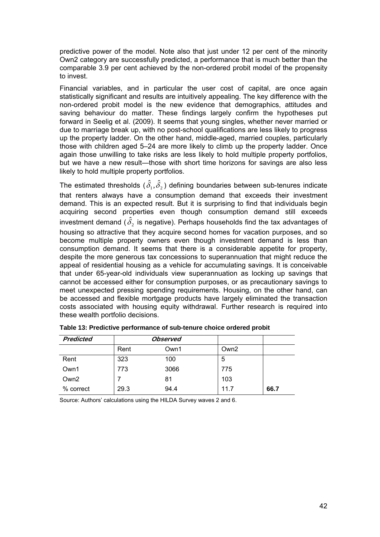<span id="page-48-0"></span>predictive power of the model. Note also that just under 12 per cent of the minority Own2 category are successfully predicted, a performance that is much better than the comparable 3.9 per cent achieved by the non-ordered probit model of the propensity to invest.

Financial variables, and in particular the user cost of capital, are once again statistically significant and results are intuitively appealing. The key difference with the non-ordered probit model is the new evidence that demographics, attitudes and saving behaviour do matter. These findings largely confirm the hypotheses put forward in Seelig et al. (2009). It seems that young singles, whether never married or due to marriage break up, with no post-school qualifications are less likely to progress up the property ladder. On the other hand, middle-aged, married couples, particularly those with children aged 5–24 are more likely to climb up the property ladder. Once again those unwilling to take risks are less likely to hold multiple property portfolios, but we have a new result—those with short time horizons for savings are also less likely to hold multiple property portfolios.

The estimated thresholds  $({\hat \delta}_1, {\hat \delta}_2)$  defining boundaries between sub-tenures indicate that renters always have a consumption demand that exceeds their investment demand. This is an expected result. But it is surprising to find that individuals begin acquiring second properties even though consumption demand still exceeds investment demand (  $\hat{\delta}_2$  is negative). Perhaps households find the tax advantages of housing so attractive that they acquire second homes for vacation purposes, and so become multiple property owners even though investment demand is less than consumption demand. It seems that there is a considerable appetite for property, despite the more generous tax concessions to superannuation that might reduce the appeal of residential housing as a vehicle for accumulating savings. It is conceivable that under 65-year-old individuals view superannuation as locking up savings that cannot be accessed either for consumption purposes, or as precautionary savings to meet unexpected pressing spending requirements. Housing, on the other hand, can be accessed and flexible mortgage products have largely eliminated the transaction costs associated with housing equity withdrawal. Further research is required into these wealth portfolio decisions.

| <b>Predicted</b> |      | <b>Observed</b> |      |      |
|------------------|------|-----------------|------|------|
|                  | Rent | Own1            | Own2 |      |
| Rent             | 323  | 100             | 5    |      |
| Own1             | 773  | 3066            | 775  |      |
| Own <sub>2</sub> |      | 81              | 103  |      |
| % correct        | 29.3 | 94.4            | 11.7 | 66.7 |

**Table 13: Predictive performance of sub-tenure choice ordered probit** 

Source: Authors' calculations using the HILDA Survey waves 2 and 6.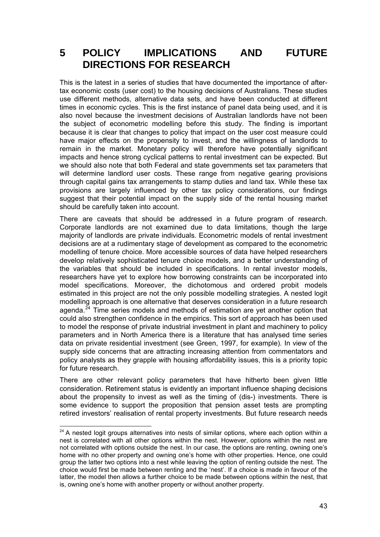### <span id="page-49-0"></span>**5 POLICY IMPLICATIONS AND FUTURE DIRECTIONS FOR RESEARCH**

This is the latest in a series of studies that have documented the importance of aftertax economic costs (user cost) to the housing decisions of Australians. These studies use different methods, alternative data sets, and have been conducted at different times in economic cycles. This is the first instance of panel data being used, and it is also novel because the investment decisions of Australian landlords have not been the subject of econometric modelling before this study. The finding is important because it is clear that changes to policy that impact on the user cost measure could have major effects on the propensity to invest, and the willingness of landlords to remain in the market. Monetary policy will therefore have potentially significant impacts and hence strong cyclical patterns to rental investment can be expected. But we should also note that both Federal and state governments set tax parameters that will determine landlord user costs. These range from negative gearing provisions through capital gains tax arrangements to stamp duties and land tax. While these tax provisions are largely influenced by other tax policy considerations, our findings suggest that their potential impact on the supply side of the rental housing market should be carefully taken into account.

There are caveats that should be addressed in a future program of research. Corporate landlords are not examined due to data limitations, though the large majority of landlords are private individuals. Econometric models of rental investment decisions are at a rudimentary stage of development as compared to the econometric modelling of tenure choice. More accessible sources of data have helped researchers develop relatively sophisticated tenure choice models, and a better understanding of the variables that should be included in specifications. In rental investor models, researchers have yet to explore how borrowing constraints can be incorporated into model specifications. Moreover, the dichotomous and ordered probit models estimated in this project are not the only possible modelling strategies. A nested logit modelling approach is one alternative that deserves consideration in a future research agenda.<sup>[24](#page-49-0)</sup> Time series models and methods of estimation are yet another option that could also strengthen confidence in the empirics. This sort of approach has been used to model the response of private industrial investment in plant and machinery to policy parameters and in North America there is a literature that has analysed time series data on private residential investment (see Green, 1997, for example). In view of the supply side concerns that are attracting increasing attention from commentators and policy analysts as they grapple with housing affordability issues, this is a priority topic for future research.

There are other relevant policy parameters that have hitherto been given little consideration. Retirement status is evidently an important influence shaping decisions about the propensity to invest as well as the timing of (dis-) investments. There is some evidence to support the proposition that pension asset tests are prompting retired investors' realisation of rental property investments. But future research needs

 $24$  A nested logit groups alternatives into nests of similar options, where each option within a nest is correlated with all other options within the nest. However, options within the nest are not correlated with options outside the nest. In our case, the options are renting, owning one's home with no other property and owning one's home with other properties. Hence, one could group the latter two options into a nest while leaving the option of renting outside the nest. The choice would first be made between renting and the 'nest'. If a choice is made in favour of the latter, the model then allows a further choice to be made between options within the nest, that is, owning one's home with another property or without another property.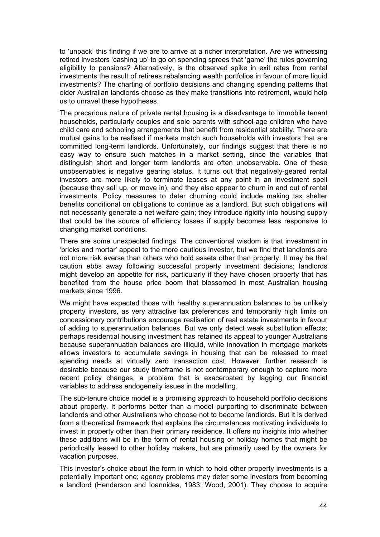to 'unpack' this finding if we are to arrive at a richer interpretation. Are we witnessing retired investors 'cashing up' to go on spending sprees that 'game' the rules governing eligibility to pensions? Alternatively, is the observed spike in exit rates from rental investments the result of retirees rebalancing wealth portfolios in favour of more liquid investments? The charting of portfolio decisions and changing spending patterns that older Australian landlords choose as they make transitions into retirement, would help us to unravel these hypotheses.

The precarious nature of private rental housing is a disadvantage to immobile tenant households, particularly couples and sole parents with school-age children who have child care and schooling arrangements that benefit from residential stability. There are mutual gains to be realised if markets match such households with investors that are committed long-term landlords. Unfortunately, our findings suggest that there is no easy way to ensure such matches in a market setting, since the variables that distinguish short and longer term landlords are often unobservable. One of these unobservables is negative gearing status. It turns out that negatively-geared rental investors are more likely to terminate leases at any point in an investment spell (because they sell up, or move in), and they also appear to churn in and out of rental investments. Policy measures to deter churning could include making tax shelter benefits conditional on obligations to continue as a landlord. But such obligations will not necessarily generate a net welfare gain; they introduce rigidity into housing supply that could be the source of efficiency losses if supply becomes less responsive to changing market conditions.

There are some unexpected findings. The conventional wisdom is that investment in 'bricks and mortar' appeal to the more cautious investor, but we find that landlords are not more risk averse than others who hold assets other than property. It may be that caution ebbs away following successful property investment decisions; landlords might develop an appetite for risk, particularly if they have chosen property that has benefited from the house price boom that blossomed in most Australian housing markets since 1996.

We might have expected those with healthy superannuation balances to be unlikely property investors, as very attractive tax preferences and temporarily high limits on concessionary contributions encourage realisation of real estate investments in favour of adding to superannuation balances. But we only detect weak substitution effects; perhaps residential housing investment has retained its appeal to younger Australians because superannuation balances are illiquid, while innovation in mortgage markets allows investors to accumulate savings in housing that can be released to meet spending needs at virtually zero transaction cost. However, further research is desirable because our study timeframe is not contemporary enough to capture more recent policy changes, a problem that is exacerbated by lagging our financial variables to address endogeneity issues in the modelling.

The sub-tenure choice model is a promising approach to household portfolio decisions about property. It performs better than a model purporting to discriminate between landlords and other Australians who choose not to become landlords. But it is derived from a theoretical framework that explains the circumstances motivating individuals to invest in property other than their primary residence. It offers no insights into whether these additions will be in the form of rental housing or holiday homes that might be periodically leased to other holiday makers, but are primarily used by the owners for vacation purposes.

This investor's choice about the form in which to hold other property investments is a potentially important one; agency problems may deter some investors from becoming a landlord (Henderson and Ioannides, 1983; Wood, 2001). They choose to acquire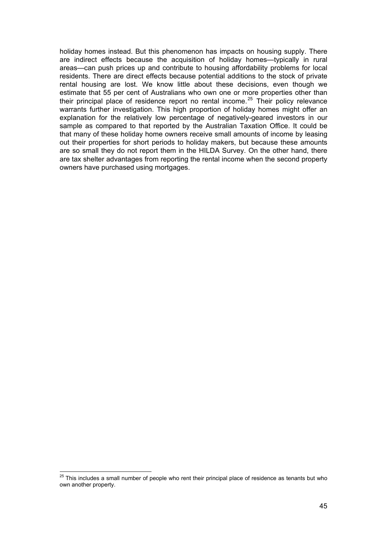<span id="page-51-0"></span>holiday homes instead. But this phenomenon has impacts on housing supply. There are indirect effects because the acquisition of holiday homes—typically in rural areas—can push prices up and contribute to housing affordability problems for local residents. There are direct effects because potential additions to the stock of private rental housing are lost. We know little about these decisions, even though we estimate that 55 per cent of Australians who own one or more properties other than their principal place of residence report no rental income.<sup>[25](#page-51-0)</sup> Their policy relevance warrants further investigation. This high proportion of holiday homes might offer an explanation for the relatively low percentage of negatively-geared investors in our sample as compared to that reported by the Australian Taxation Office. It could be that many of these holiday home owners receive small amounts of income by leasing out their properties for short periods to holiday makers, but because these amounts are so small they do not report them in the HILDA Survey. On the other hand, there are tax shelter advantages from reporting the rental income when the second property owners have purchased using mortgages.

 $\overline{a}$ 

 $^{25}$  This includes a small number of people who rent their principal place of residence as tenants but who own another property.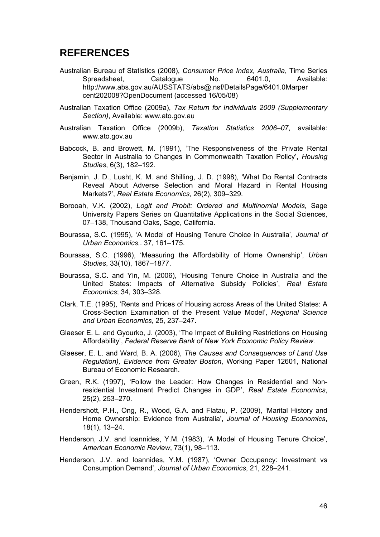### <span id="page-52-0"></span>**REFERENCES**

- Australian Bureau of Statistics (2008), *Consumer Price Index, Australia*, Time Series Spreadsheet, Catalogue No. 6401.0, Available: http://www.abs.gov.au/AUSSTATS/abs@.nsf/DetailsPage/6401.0Marper cent202008?OpenDocument (accessed 16/05/08)
- Australian Taxation Office (2009a), *Tax Return for Individuals 2009 (Supplementary Section)*, Available: www.ato.gov.au
- Australian Taxation Office (2009b), *Taxation Statistics 2006–07*, available: www.ato.gov.au
- Babcock, B. and Browett, M. (1991), 'The Responsiveness of the Private Rental Sector in Australia to Changes in Commonwealth Taxation Policy', *Housing Studies*, 6(3), 182–192.
- Benjamin, J. D., Lusht, K. M. and Shilling, J. D. (1998), 'What Do Rental Contracts Reveal About Adverse Selection and Moral Hazard in Rental Housing Markets?', *Real Estate Economics*, 26(2), 309–329.
- Borooah, V.K. (2002), *Logit and Probit: Ordered and Multinomial Models*, Sage University Papers Series on Quantitative Applications in the Social Sciences, 07–138, Thousand Oaks, Sage, California.
- Bourassa, S.C. (1995), 'A Model of Housing Tenure Choice in Australia', *Journal of Urban Economics*,. 37, 161–175.
- Bourassa, S.C. (1996), 'Measuring the Affordability of Home Ownership', *Urban Studies*, 33(10), 1867–1877.
- Bourassa, S.C. and Yin, M. (2006), 'Housing Tenure Choice in Australia and the United States: Impacts of Alternative Subsidy Policies', *Real Estate Economics*; 34, 303–328.
- Clark, T.E. (1995), 'Rents and Prices of Housing across Areas of the United States: A Cross-Section Examination of the Present Value Model', *Regional Science and Urban Economics*, 25, 237–247.
- Glaeser E. L. and Gyourko, J. (2003), 'The Impact of Building Restrictions on Housing Affordability', *Federal Reserve Bank of New York Economic Policy Review*.
- Glaeser, E. L. and Ward, B. A. (2006), *The Causes and Consequences of Land Use Regulation), Evidence from Greater Boston*, Working Paper 12601, National Bureau of Economic Research.
- Green, R.K. (1997), 'Follow the Leader: How Changes in Residential and Nonresidential Investment Predict Changes in GDP', *Real Estate Economics*, 25(2), 253–270.
- Hendershott, P.H., Ong, R., Wood, G.A. and Flatau, P. (2009), 'Marital History and Home Ownership: Evidence from Australia', *Journal of Housing Economics*, 18(1), 13–24.
- Henderson, J.V. and Ioannides, Y.M. (1983), 'A Model of Housing Tenure Choice', *American Economic Review*, 73(1), 98–113.
- Henderson, J.V. and Ioannides, Y.M. (1987), 'Owner Occupancy: Investment vs Consumption Demand', *Journal of Urban Economics*, 21, 228–241.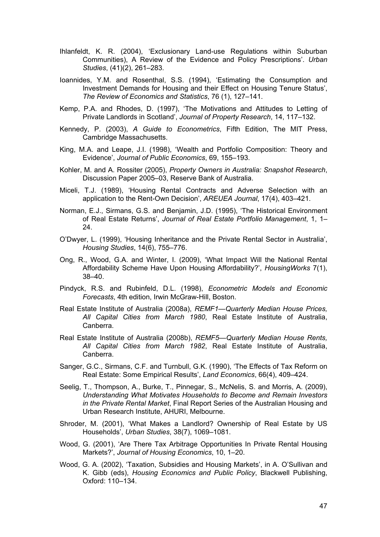- Ihlanfeldt, K. R. (2004), 'Exclusionary Land-use Regulations within Suburban Communities), A Review of the Evidence and Policy Prescriptions'. *Urban Studies*, (41)(2), 261–283.
- Ioannides, Y.M. and Rosenthal, S.S. (1994), 'Estimating the Consumption and Investment Demands for Housing and their Effect on Housing Tenure Status', *The Review of Economics and Statistics*, 76 (1), 127–141.
- Kemp, P.A. and Rhodes, D. (1997), 'The Motivations and Attitudes to Letting of Private Landlords in Scotland', *Journal of Property Research*, 14, 117–132.
- Kennedy, P. (2003), *A Guide to Econometrics*, Fifth Edition, The MIT Press, Cambridge Massachusetts.
- King, M.A. and Leape, J.I. (1998), 'Wealth and Portfolio Composition: Theory and Evidence', *Journal of Public Economics*, 69, 155–193.
- Kohler, M. and A. Rossiter (2005), *Property Owners in Australia: Snapshot Research*, Discussion Paper 2005–03, Reserve Bank of Australia.
- Miceli, T.J. (1989), 'Housing Rental Contracts and Adverse Selection with an application to the Rent-Own Decision', *AREUEA Journal*, 17(4), 403–421.
- Norman, E.J., Sirmans, G.S. and Benjamin, J.D. (1995), 'The Historical Environment of Real Estate Returns', *Journal of Real Estate Portfolio Management*, 1, 1– 24.
- O'Dwyer, L. (1999), 'Housing Inheritance and the Private Rental Sector in Australia', *Housing Studies*, 14(6), 755–776.
- Ong, R., Wood, G.A. and Winter, I. (2009), 'What Impact Will the National Rental Affordability Scheme Have Upon Housing Affordability?', *HousingWorks* 7(1), 38–40.
- Pindyck, R.S. and Rubinfeld, D.L. (1998), *Econometric Models and Economic Forecasts*, 4th edition, Irwin McGraw-Hill, Boston.
- Real Estate Institute of Australia (2008a), *REMF1—Quarterly Median House Prices, All Capital Cities from March 1980*, Real Estate Institute of Australia, Canberra.
- Real Estate Institute of Australia (2008b), *REMF5—Quarterly Median House Rents, All Capital Cities from March 1982*, Real Estate Institute of Australia, Canberra.
- Sanger, G.C., Sirmans, C.F. and Turnbull, G.K. (1990), 'The Effects of Tax Reform on Real Estate: Some Empirical Results', *Land Economics*, 66(4), 409–424.
- Seelig, T., Thompson, A., Burke, T., Pinnegar, S., McNelis, S. and Morris, A. (2009), *Understanding What Motivates Households to Become and Remain Investors in the Private Rental Market*, Final Report Series of the Australian Housing and Urban Research Institute, AHURI, Melbourne.
- Shroder, M. (2001), 'What Makes a Landlord? Ownership of Real Estate by US Households', *Urban Studies*, 38(7), 1069–1081.
- Wood, G. (2001), 'Are There Tax Arbitrage Opportunities In Private Rental Housing Markets?', *Journal of Housing Economics*, 10, 1–20.
- Wood, G. A. (2002), 'Taxation, Subsidies and Housing Markets', in A. O'Sullivan and K. Gibb (eds), *Housing Economics and Public Policy*, Blackwell Publishing, Oxford: 110–134.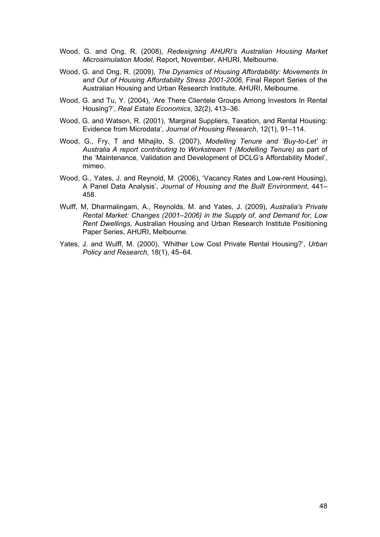- Wood, G. and Ong, R. (2008), *Redesigning AHURI's Australian Housing Market Microsimulation Model*, Report, November, AHURI, Melbourne.
- Wood, G. and Ong, R. (2009), *The Dynamics of Housing Affordability: Movements In and Out of Housing Affordability Stress 2001-2006*, Final Report Series of the Australian Housing and Urban Research Institute, AHURI, Melbourne.
- Wood, G. and Tu, Y. (2004), 'Are There Clientele Groups Among Investors In Rental Housing?', *Real Estate Economics*, 32(2), 413–36.
- Wood, G. and Watson, R. (2001), 'Marginal Suppliers, Taxation, and Rental Housing: Evidence from Microdata', *Journal of Housing Research*, 12(1), 91–114.
- Wood, G., Fry, T and Mihajilo, S. (2007), *Modelling Tenure and 'Buy-to-Let' in Australia A report contributing to Workstream 1 (Modelling Tenure)* as part of the 'Maintenance, Validation and Development of DCLG's Affordability Model', mimeo.
- Wood, G., Yates, J. and Reynold, M. (2006), 'Vacancy Rates and Low-rent Housing), A Panel Data Analysis', *Journal of Housing and the Built Environment*, 441– 458.
- Wulff, M, Dharmalingam, A., Reynolds, M. and Yates, J. (2009), *Australia's Private Rental Market: Changes (2001–2006) in the Supply of, and Demand for, Low Rent Dwellings*, Australian Housing and Urban Research Institute Positioning Paper Series, AHURI, Melbourne.
- Yates, J. and Wulff, M. (2000), 'Whither Low Cost Private Rental Housing?', *Urban Policy and Research*, 18(1), 45–64.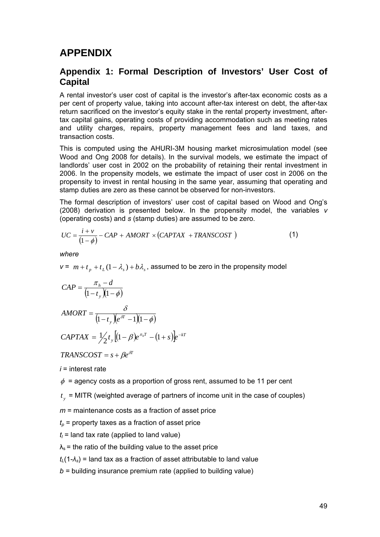### <span id="page-55-0"></span>**APPENDIX**

### **Appendix 1: Formal Description of Investors' User Cost of Capital**

A rental investor's user cost of capital is the investor's after-tax economic costs as a per cent of property value, taking into account after-tax interest on debt, the after-tax return sacrificed on the investor's equity stake in the rental property investment, aftertax capital gains, operating costs of providing accommodation such as meeting rates and utility charges, repairs, property management fees and land taxes, and transaction costs.

This is computed using the AHURI-3M housing market microsimulation model (see Wood and Ong 2008 for details). In the survival models, we estimate the impact of landlords' user cost in 2002 on the probability of retaining their rental investment in 2006. In the propensity models, we estimate the impact of user cost in 2006 on the propensity to invest in rental housing in the same year, assuming that operating and stamp duties are zero as these cannot be observed for non-investors.

The formal description of investors' user cost of capital based on Wood and Ong's (2008) derivation is presented below. In the propensity model, the variables *v* (operating costs) and *s* (stamp duties) are assumed to be zero.

$$
UC = \frac{i + v}{(1 - \phi)} - CAP + AMORT \times (CAPTAX + TRANSCOST)
$$
 (1)

*where* 

*v* =  $m + t_p + t_l(1 - \lambda_s) + b\lambda_s$ , assumed to be zero in the propensity model

$$
CAP = \frac{\pi_h - d}{\left(1 - t_y\right)\left(1 - \phi\right)}
$$

$$
AMORT = \frac{\delta}{\left(1 - t_y\right)\left(e^{\delta T} - 1\right)\left(1 - \phi\right)}
$$

$$
CAPTAX = \frac{1}{2} t_{y} \left[ (1 - \beta) e^{\pi_{h} T} - (1 + s) \right] e^{-kT}
$$

 $TRANSCOST = s + Be^{ST}$ 

*i* = interest rate

 $\phi$  = agency costs as a proportion of gross rent, assumed to be 11 per cent

 $t_{\rm v}$  = MITR (weighted average of partners of income unit in the case of couples)

*m* = maintenance costs as a fraction of asset price

 $t_p$  = property taxes as a fraction of asset price

 $t<sub>l</sub>$  = land tax rate (applied to land value)

 $\lambda_s$  = the ratio of the building value to the asset price

 $t_L$ (1- $\lambda_s$ ) = land tax as a fraction of asset attributable to land value

*b =* building insurance premium rate (applied to building value)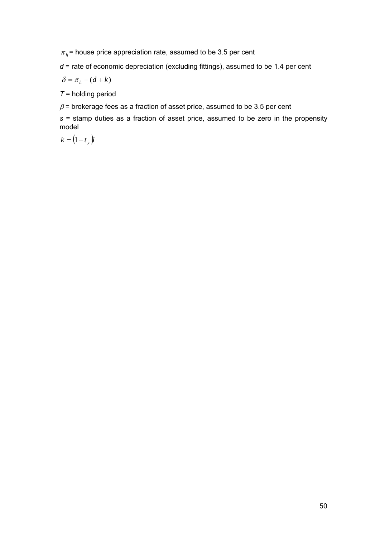$\pi_h$  = house price appreciation rate, assumed to be 3.5 per cent

*d* = rate of economic depreciation (excluding fittings), assumed to be 1.4 per cent

 $\delta = \pi_h - (d + k)$ 

*T* = holding period

 $\beta$  = brokerage fees as a fraction of asset price, assumed to be 3.5 per cent

*s* = stamp duties as a fraction of asset price, assumed to be zero in the propensity model

$$
k = \left(1 - t_{y}\right)\dot{\mathbf{i}}
$$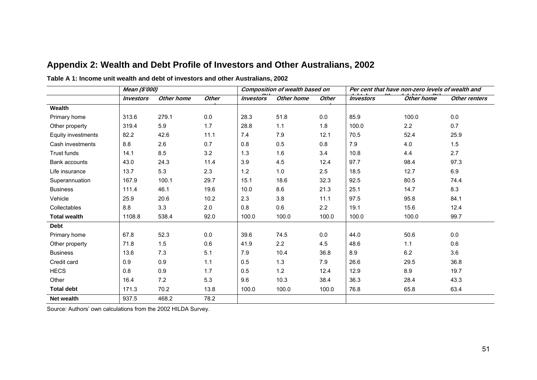|                      | Mean (\$'000)           |            |              | <b>Composition of wealth based on</b> |            |              | Per cent that have non-zero levels of wealth and |            |               |
|----------------------|-------------------------|------------|--------------|---------------------------------------|------------|--------------|--------------------------------------------------|------------|---------------|
|                      | <i><b>Investors</b></i> | Other home | <b>Other</b> | <i><b>Investors</b></i>               | Other home | <b>Other</b> | <i><b>Investors</b></i>                          | Other home | Other renters |
| Wealth               |                         |            |              |                                       |            |              |                                                  |            |               |
| Primary home         | 313.6                   | 279.1      | 0.0          | 28.3                                  | 51.8       | 0.0          | 85.9                                             | 100.0      | 0.0           |
| Other property       | 319.4                   | 5.9        | 1.7          | 28.8                                  | 1.1        | 1.8          | 100.0                                            | 2.2        | 0.7           |
| Equity investments   | 82.2                    | 42.6       | 11.1         | 7.4                                   | 7.9        | 12.1         | 70.5                                             | 52.4       | 25.9          |
| Cash investments     | 8.8                     | 2.6        | 0.7          | 0.8                                   | 0.5        | 0.8          | 7.9                                              | 4.0        | 1.5           |
| <b>Trust funds</b>   | 14.1                    | 8.5        | 3.2          | 1.3                                   | 1.6        | 3.4          | 10.8                                             | 4.4        | 2.7           |
| <b>Bank accounts</b> | 43.0                    | 24.3       | 11.4         | 3.9                                   | 4.5        | 12.4         | 97.7                                             | 98.4       | 97.3          |
| Life insurance       | 13.7                    | 5.3        | 2.3          | 1.2                                   | 1.0        | 2.5          | 18.5                                             | 12.7       | 6.9           |
| Superannuation       | 167.9                   | 100.1      | 29.7         | 15.1                                  | 18.6       | 32.3         | 92.5                                             | 80.5       | 74.4          |
| <b>Business</b>      | 111.4                   | 46.1       | 19.6         | 10.0                                  | 8.6        | 21.3         | 25.1                                             | 14.7       | 8.3           |
| Vehicle              | 25.9                    | 20.6       | 10.2         | 2.3                                   | 3.8        | 11.1         | 97.5                                             | 95.8       | 84.1          |
| Collectables         | 8.8                     | 3.3        | 2.0          | 0.8                                   | 0.6        | 2.2          | 19.1                                             | 15.6       | 12.4          |
| <b>Total wealth</b>  | 1108.8                  | 538.4      | 92.0         | 100.0                                 | 100.0      | 100.0        | 100.0                                            | 100.0      | 99.7          |
| <b>Debt</b>          |                         |            |              |                                       |            |              |                                                  |            |               |
| Primary home         | 67.8                    | 52.3       | 0.0          | 39.6                                  | 74.5       | 0.0          | 44.0                                             | 50.6       | 0.0           |
| Other property       | 71.8                    | 1.5        | 0.6          | 41.9                                  | 2.2        | 4.5          | 48.6                                             | 1.1        | 0.6           |
| <b>Business</b>      | 13.6                    | 7.3        | 5.1          | 7.9                                   | 10.4       | 36.8         | 8.9                                              | 6.2        | 3.6           |
| Credit card          | 0.9                     | 0.9        | 1.1          | 0.5                                   | 1.3        | 7.9          | 26.6                                             | 29.5       | 36.8          |
| <b>HECS</b>          | 0.8                     | 0.9        | 1.7          | 0.5                                   | 1.2        | 12.4         | 12.9                                             | 8.9        | 19.7          |
| Other                | 16.4                    | 7.2        | 5.3          | 9.6                                   | 10.3       | 38.4         | 36.3                                             | 28.4       | 43.3          |
| <b>Total debt</b>    | 171.3                   | 70.2       | 13.8         | 100.0                                 | 100.0      | 100.0        | 76.8                                             | 65.8       | 63.4          |
| Net wealth           | 937.5                   | 468.2      | 78.2         |                                       |            |              |                                                  |            |               |

### **Appendix 2: Wealth and Debt Profile of Investors and Other Australians, 2002 Table A 1: Income unit wealth and debt of investors and other Australians, 2002**

<span id="page-57-0"></span>Source: Authors' own calculations from the 2002 HILDA Survey.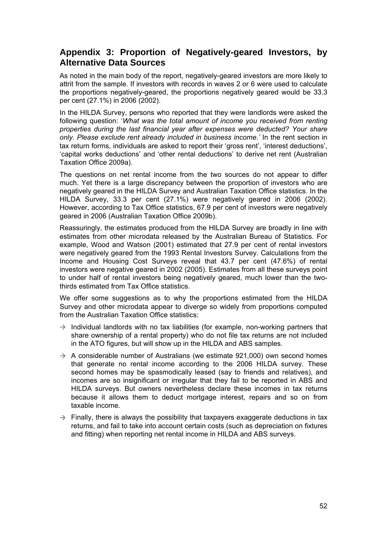### <span id="page-58-0"></span>**Appendix 3: Proportion of Negatively-geared Investors, by Alternative Data Sources**

As noted in the main body of the report, negatively-geared investors are more likely to attrit from the sample. If investors with records in waves 2 or 6 were used to calculate the proportions negatively-geared, the proportions negatively geared would be 33.3 per cent (27.1%) in 2006 (2002).

In the HILDA Survey, persons who reported that they were landlords were asked the following question: '*What was the total amount of income you received from renting properties during the last financial year after expenses were deducted? Your share only. Please exclude rent already included in business income.'* In the rent section in tax return forms, individuals are asked to report their 'gross rent', 'interest deductions', 'capital works deductions' and 'other rental deductions' to derive net rent (Australian Taxation Office 2009a).

The questions on net rental income from the two sources do not appear to differ much. Yet there is a large discrepancy between the proportion of investors who are negatively geared in the HILDA Survey and Australian Taxation Office statistics. In the HILDA Survey, 33.3 per cent (27.1%) were negatively geared in 2006 (2002). However, according to Tax Office statistics, 67.9 per cent of investors were negatively geared in 2006 (Australian Taxation Office 2009b).

Reassuringly, the estimates produced from the HILDA Survey are broadly in line with estimates from other microdata released by the Australian Bureau of Statistics. For example, Wood and Watson (2001) estimated that 27.9 per cent of rental investors were negatively geared from the 1993 Rental Investors Survey. Calculations from the Income and Housing Cost Surveys reveal that 43.7 per cent (47.6%) of rental investors were negative geared in 2002 (2005). Estimates from all these surveys point to under half of rental investors being negatively geared, much lower than the twothirds estimated from Tax Office statistics.

We offer some suggestions as to why the proportions estimated from the HILDA Survey and other microdata appear to diverge so widely from proportions computed from the Australian Taxation Office statistics:

- $\rightarrow$  Individual landlords with no tax liabilities (for example, non-working partners that share ownership of a rental property) who do not file tax returns are not included in the ATO figures, but will show up in the HILDA and ABS samples.
- $\rightarrow$  A considerable number of Australians (we estimate 921,000) own second homes that generate no rental income according to the 2006 HILDA survey. These second homes may be spasmodically leased (say to friends and relatives), and incomes are so insignificant or irregular that they fail to be reported in ABS and HILDA surveys. But owners nevertheless declare these incomes in tax returns because it allows them to deduct mortgage interest, repairs and so on from taxable income.
- $\rightarrow$  Finally, there is always the possibility that taxpayers exaggerate deductions in tax returns, and fail to take into account certain costs (such as depreciation on fixtures and fitting) when reporting net rental income in HILDA and ABS surveys.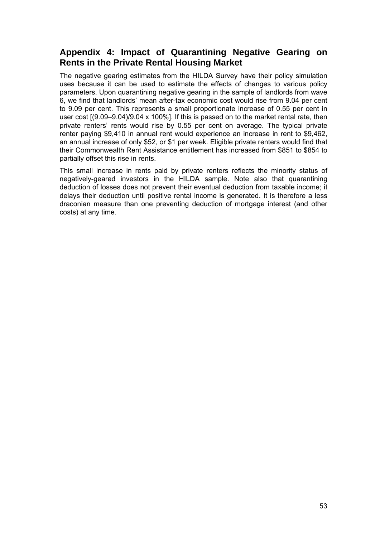### <span id="page-59-0"></span>**Appendix 4: Impact of Quarantining Negative Gearing on Rents in the Private Rental Housing Market**

The negative gearing estimates from the HILDA Survey have their policy simulation uses because it can be used to estimate the effects of changes to various policy parameters. Upon quarantining negative gearing in the sample of landlords from wave 6, we find that landlords' mean after-tax economic cost would rise from 9.04 per cent to 9.09 per cent. This represents a small proportionate increase of 0.55 per cent in user cost [(9.09–9.04)/9.04 x 100%]. If this is passed on to the market rental rate, then private renters' rents would rise by 0.55 per cent on average. The typical private renter paying \$9,410 in annual rent would experience an increase in rent to \$9,462, an annual increase of only \$52, or \$1 per week. Eligible private renters would find that their Commonwealth Rent Assistance entitlement has increased from \$851 to \$854 to partially offset this rise in rents.

This small increase in rents paid by private renters reflects the minority status of negatively-geared investors in the HILDA sample. Note also that quarantining deduction of losses does not prevent their eventual deduction from taxable income; it delays their deduction until positive rental income is generated. It is therefore a less draconian measure than one preventing deduction of mortgage interest (and other costs) at any time.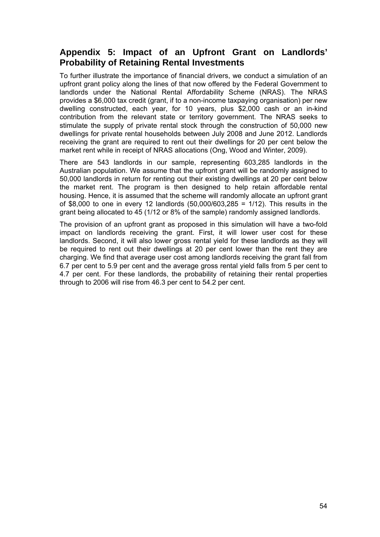### <span id="page-60-0"></span>**Appendix 5: Impact of an Upfront Grant on Landlords' Probability of Retaining Rental Investments**

To further illustrate the importance of financial drivers, we conduct a simulation of an upfront grant policy along the lines of that now offered by the Federal Government to landlords under the National Rental Affordability Scheme (NRAS). The NRAS provides a \$6,000 tax credit (grant, if to a non-income taxpaying organisation) per new dwelling constructed, each year, for 10 years, plus \$2,000 cash or an in-kind contribution from the relevant state or territory government. The NRAS seeks to stimulate the supply of private rental stock through the construction of 50,000 new dwellings for private rental households between July 2008 and June 2012. Landlords receiving the grant are required to rent out their dwellings for 20 per cent below the market rent while in receipt of NRAS allocations (Ong, Wood and Winter, 2009).

There are 543 landlords in our sample, representing 603,285 landlords in the Australian population. We assume that the upfront grant will be randomly assigned to 50,000 landlords in return for renting out their existing dwellings at 20 per cent below the market rent. The program is then designed to help retain affordable rental housing. Hence, it is assumed that the scheme will randomly allocate an upfront grant of \$8,000 to one in every 12 landlords (50,000/603,285 = 1/12). This results in the grant being allocated to 45 (1/12 or 8% of the sample) randomly assigned landlords.

The provision of an upfront grant as proposed in this simulation will have a two-fold impact on landlords receiving the grant. First, it will lower user cost for these landlords. Second, it will also lower gross rental yield for these landlords as they will be required to rent out their dwellings at 20 per cent lower than the rent they are charging. We find that average user cost among landlords receiving the grant fall from 6.7 per cent to 5.9 per cent and the average gross rental yield falls from 5 per cent to 4.7 per cent. For these landlords, the probability of retaining their rental properties through to 2006 will rise from 46.3 per cent to 54.2 per cent.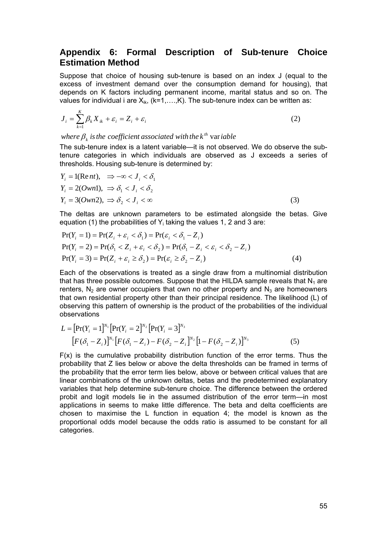### <span id="page-61-0"></span>**Appendix 6: Formal Description of Sub-tenure Choice Estimation Method**

Suppose that choice of housing sub-tenure is based on an index J (equal to the excess of investment demand over the consumption demand for housing), that depends on K factors including permanent income, marital status and so on. The values for individual i are  $X_{ik}$ , (k=1,...,K). The sub-tenure index can be written as:

$$
J_i = \sum_{k=1}^{K} \beta_k X_{ik} + \varepsilon_i = Z_i + \varepsilon_i
$$
 (2)

where  $\beta_{\scriptscriptstyle k}$  is the coefficient associated with the k<sup>th</sup> variable  $\beta_k$  is the coefficient associated with the  $k^{\textit{th}}$  var

The sub-tenure index is a latent variable—it is not observed. We do observe the subtenure categories in which individuals are observed as J exceeds a series of thresholds. Housing sub-tenure is determined by:

$$
Y_i = 1(\text{Re} nt), \Rightarrow -\infty < J_i < \delta_1
$$
  
\n
$$
Y_i = 2(Own1), \Rightarrow \delta_1 < J_i < \delta_2
$$
  
\n
$$
Y_i = 3(Own2), \Rightarrow \delta_2 < J_i < \infty
$$
\n(3)

The deltas are unknown parameters to be estimated alongside the betas. Give equation (1) the probabilities of  $Y_i$  taking the values 1, 2 and 3 are:

$$
Pr(Y_i = 1) = Pr(Z_i + \varepsilon_i < \delta_1) = Pr(\varepsilon_i < \delta_1 - Z_i)
$$
\n
$$
Pr(Y_i = 2) = Pr(\delta_1 < Z_i + \varepsilon_i < \delta_2) = Pr(\delta_1 - Z_i < \varepsilon_i < \delta_2 - Z_i)
$$
\n
$$
Pr(Y_i = 3) = Pr(Z_i + \varepsilon_i \ge \delta_2) = Pr(\varepsilon_i \ge \delta_2 - Z_i)
$$
\n
$$
(4)
$$

Each of the observations is treated as a single draw from a multinomial distribution that has three possible outcomes. Suppose that the HILDA sample reveals that  $N_1$  are renters,  $N_2$  are owner occupiers that own no other property and  $N_3$  are homeowners that own residential property other than their principal residence. The likelihood (L) of observing this pattern of ownership is the product of the probabilities of the individual observations

$$
L = [\Pr(Y_i = 1]^{N_1} [\Pr(Y_i = 2]^{N_2} [\Pr(Y_i = 3]^{N_3} [F(\delta_1 - Z_i)]^{N_1} [F(\delta_1 - Z_i) - F(\delta_2 - Z_i)]^{N_2} [1 - F(\delta_2 - Z_i)]^{N_3}
$$
(5)

 $F(x)$  is the cumulative probability distribution function of the error terms. Thus the probability that Z lies below or above the delta thresholds can be framed in terms of the probability that the error term lies below, above or between critical values that are linear combinations of the unknown deltas, betas and the predetermined explanatory variables that help determine sub-tenure choice. The difference between the ordered probit and logit models lie in the assumed distribution of the error term—in most applications in seems to make little difference. The beta and delta coefficients are chosen to maximise the L function in equation 4; the model is known as the proportional odds model because the odds ratio is assumed to be constant for all categories.